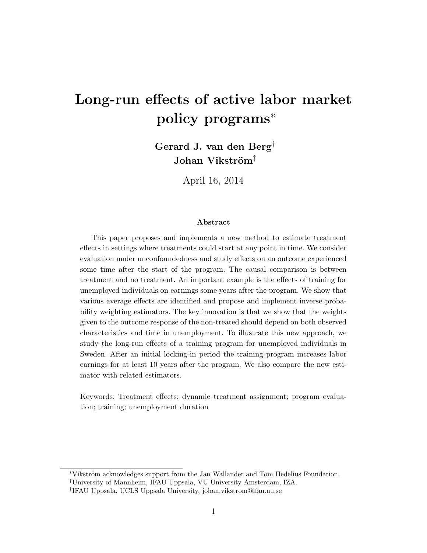# Long-run effects of active labor market policy programs<sup>∗</sup>

Gerard J. van den Berg† Johan Vikström<sup>‡</sup>

April 16, 2014

#### Abstract

This paper proposes and implements a new method to estimate treatment effects in settings where treatments could start at any point in time. We consider evaluation under unconfoundedness and study effects on an outcome experienced some time after the start of the program. The causal comparison is between treatment and no treatment. An important example is the effects of training for unemployed individuals on earnings some years after the program. We show that various average effects are identified and propose and implement inverse probability weighting estimators. The key innovation is that we show that the weights given to the outcome response of the non-treated should depend on both observed characteristics and time in unemployment. To illustrate this new approach, we study the long-run effects of a training program for unemployed individuals in Sweden. After an initial locking-in period the training program increases labor earnings for at least 10 years after the program. We also compare the new estimator with related estimators.

Keywords: Treatment effects; dynamic treatment assignment; program evaluation; training; unemployment duration

<sup>∗</sup>Vikstr¨om acknowledges support from the Jan Wallander and Tom Hedelius Foundation.

<sup>†</sup>University of Mannheim, IFAU Uppsala, VU University Amsterdam, IZA.

<sup>‡</sup> IFAU Uppsala, UCLS Uppsala University, johan.vikstrom@ifau.uu.se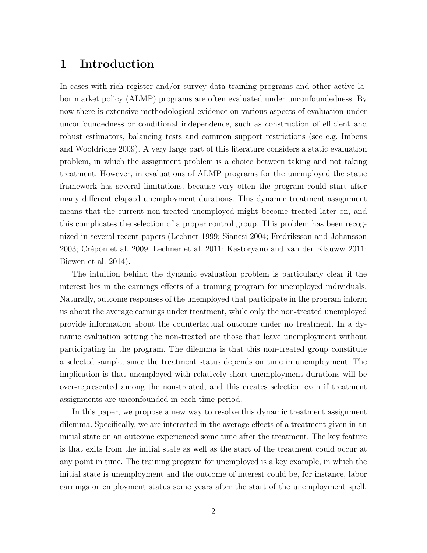#### 1 Introduction

In cases with rich register and/or survey data training programs and other active labor market policy (ALMP) programs are often evaluated under unconfoundedness. By now there is extensive methodological evidence on various aspects of evaluation under unconfoundedness or conditional independence, such as construction of efficient and robust estimators, balancing tests and common support restrictions (see e.g. Imbens and Wooldridge 2009). A very large part of this literature considers a static evaluation problem, in which the assignment problem is a choice between taking and not taking treatment. However, in evaluations of ALMP programs for the unemployed the static framework has several limitations, because very often the program could start after many different elapsed unemployment durations. This dynamic treatment assignment means that the current non-treated unemployed might become treated later on, and this complicates the selection of a proper control group. This problem has been recognized in several recent papers (Lechner 1999; Sianesi 2004; Fredriksson and Johansson 2003; Crépon et al. 2009; Lechner et al. 2011; Kastoryano and van der Klauww 2011; Biewen et al. 2014).

The intuition behind the dynamic evaluation problem is particularly clear if the interest lies in the earnings effects of a training program for unemployed individuals. Naturally, outcome responses of the unemployed that participate in the program inform us about the average earnings under treatment, while only the non-treated unemployed provide information about the counterfactual outcome under no treatment. In a dynamic evaluation setting the non-treated are those that leave unemployment without participating in the program. The dilemma is that this non-treated group constitute a selected sample, since the treatment status depends on time in unemployment. The implication is that unemployed with relatively short unemployment durations will be over-represented among the non-treated, and this creates selection even if treatment assignments are unconfounded in each time period.

In this paper, we propose a new way to resolve this dynamic treatment assignment dilemma. Specifically, we are interested in the average effects of a treatment given in an initial state on an outcome experienced some time after the treatment. The key feature is that exits from the initial state as well as the start of the treatment could occur at any point in time. The training program for unemployed is a key example, in which the initial state is unemployment and the outcome of interest could be, for instance, labor earnings or employment status some years after the start of the unemployment spell.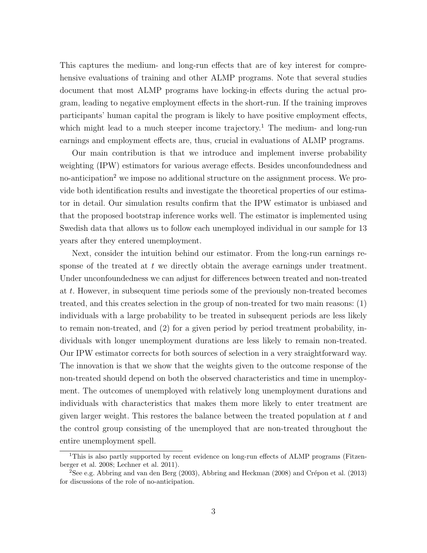This captures the medium- and long-run effects that are of key interest for comprehensive evaluations of training and other ALMP programs. Note that several studies document that most ALMP programs have locking-in effects during the actual program, leading to negative employment effects in the short-run. If the training improves participants' human capital the program is likely to have positive employment effects, which might lead to a much steeper income trajectory.<sup>1</sup> The medium- and long-run earnings and employment effects are, thus, crucial in evaluations of ALMP programs.

Our main contribution is that we introduce and implement inverse probability weighting (IPW) estimators for various average effects. Besides unconfoundedness and no-anticipation<sup>2</sup> we impose no additional structure on the assignment process. We provide both identification results and investigate the theoretical properties of our estimator in detail. Our simulation results confirm that the IPW estimator is unbiased and that the proposed bootstrap inference works well. The estimator is implemented using Swedish data that allows us to follow each unemployed individual in our sample for 13 years after they entered unemployment.

Next, consider the intuition behind our estimator. From the long-run earnings response of the treated at  $t$  we directly obtain the average earnings under treatment. Under unconfoundedness we can adjust for differences between treated and non-treated at t. However, in subsequent time periods some of the previously non-treated becomes treated, and this creates selection in the group of non-treated for two main reasons: (1) individuals with a large probability to be treated in subsequent periods are less likely to remain non-treated, and (2) for a given period by period treatment probability, individuals with longer unemployment durations are less likely to remain non-treated. Our IPW estimator corrects for both sources of selection in a very straightforward way. The innovation is that we show that the weights given to the outcome response of the non-treated should depend on both the observed characteristics and time in unemployment. The outcomes of unemployed with relatively long unemployment durations and individuals with characteristics that makes them more likely to enter treatment are given larger weight. This restores the balance between the treated population at  $t$  and the control group consisting of the unemployed that are non-treated throughout the entire unemployment spell.

<sup>&</sup>lt;sup>1</sup>This is also partly supported by recent evidence on long-run effects of ALMP programs (Fitzenberger et al. 2008; Lechner et al. 2011).

<sup>&</sup>lt;sup>2</sup>See e.g. Abbring and van den Berg (2003), Abbring and Heckman (2008) and Crépon et al. (2013) for discussions of the role of no-anticipation.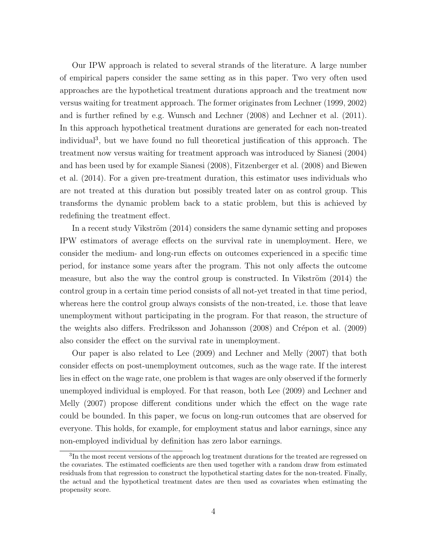Our IPW approach is related to several strands of the literature. A large number of empirical papers consider the same setting as in this paper. Two very often used approaches are the hypothetical treatment durations approach and the treatment now versus waiting for treatment approach. The former originates from Lechner (1999, 2002) and is further refined by e.g. Wunsch and Lechner (2008) and Lechner et al. (2011). In this approach hypothetical treatment durations are generated for each non-treated individual<sup>3</sup> , but we have found no full theoretical justification of this approach. The treatment now versus waiting for treatment approach was introduced by Sianesi (2004) and has been used by for example Sianesi (2008), Fitzenberger et al. (2008) and Biewen et al. (2014). For a given pre-treatment duration, this estimator uses individuals who are not treated at this duration but possibly treated later on as control group. This transforms the dynamic problem back to a static problem, but this is achieved by redefining the treatment effect.

In a recent study Vikström (2014) considers the same dynamic setting and proposes IPW estimators of average effects on the survival rate in unemployment. Here, we consider the medium- and long-run effects on outcomes experienced in a specific time period, for instance some years after the program. This not only affects the outcome measure, but also the way the control group is constructed. In Vikström  $(2014)$  the control group in a certain time period consists of all not-yet treated in that time period, whereas here the control group always consists of the non-treated, i.e. those that leave unemployment without participating in the program. For that reason, the structure of the weights also differs. Fredriksson and Johansson (2008) and Crépon et al. (2009) also consider the effect on the survival rate in unemployment.

Our paper is also related to Lee (2009) and Lechner and Melly (2007) that both consider effects on post-unemployment outcomes, such as the wage rate. If the interest lies in effect on the wage rate, one problem is that wages are only observed if the formerly unemployed individual is employed. For that reason, both Lee (2009) and Lechner and Melly (2007) propose different conditions under which the effect on the wage rate could be bounded. In this paper, we focus on long-run outcomes that are observed for everyone. This holds, for example, for employment status and labor earnings, since any non-employed individual by definition has zero labor earnings.

<sup>&</sup>lt;sup>3</sup>In the most recent versions of the approach log treatment durations for the treated are regressed on the covariates. The estimated coefficients are then used together with a random draw from estimated residuals from that regression to construct the hypothetical starting dates for the non-treated. Finally, the actual and the hypothetical treatment dates are then used as covariates when estimating the propensity score.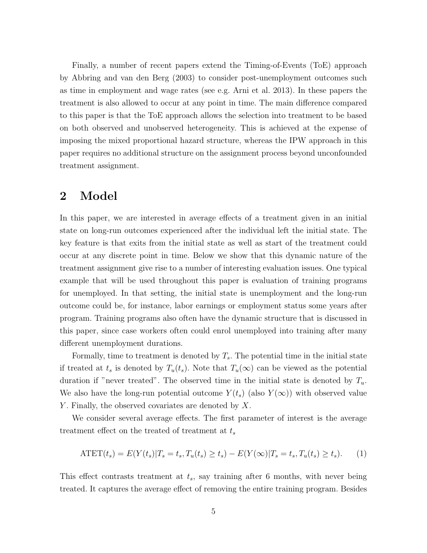Finally, a number of recent papers extend the Timing-of-Events (ToE) approach by Abbring and van den Berg (2003) to consider post-unemployment outcomes such as time in employment and wage rates (see e.g. Arni et al. 2013). In these papers the treatment is also allowed to occur at any point in time. The main difference compared to this paper is that the ToE approach allows the selection into treatment to be based on both observed and unobserved heterogeneity. This is achieved at the expense of imposing the mixed proportional hazard structure, whereas the IPW approach in this paper requires no additional structure on the assignment process beyond unconfounded treatment assignment.

#### 2 Model

In this paper, we are interested in average effects of a treatment given in an initial state on long-run outcomes experienced after the individual left the initial state. The key feature is that exits from the initial state as well as start of the treatment could occur at any discrete point in time. Below we show that this dynamic nature of the treatment assignment give rise to a number of interesting evaluation issues. One typical example that will be used throughout this paper is evaluation of training programs for unemployed. In that setting, the initial state is unemployment and the long-run outcome could be, for instance, labor earnings or employment status some years after program. Training programs also often have the dynamic structure that is discussed in this paper, since case workers often could enrol unemployed into training after many different unemployment durations.

Formally, time to treatment is denoted by  $T_s$ . The potential time in the initial state if treated at  $t_s$  is denoted by  $T_u(t_s)$ . Note that  $T_u(\infty)$  can be viewed as the potential duration if "never treated". The observed time in the initial state is denoted by  $T_u$ . We also have the long-run potential outcome  $Y(t_s)$  (also  $Y(\infty)$ ) with observed value Y. Finally, the observed covariates are denoted by  $X$ .

We consider several average effects. The first parameter of interest is the average treatment effect on the treated of treatment at  $t_s$ 

$$
ATET(t_s) = E(Y(t_s)|T_s = t_s, T_u(t_s) \ge t_s) - E(Y(\infty)|T_s = t_s, T_u(t_s) \ge t_s).
$$
 (1)

This effect contrasts treatment at  $t_s$ , say training after 6 months, with never being treated. It captures the average effect of removing the entire training program. Besides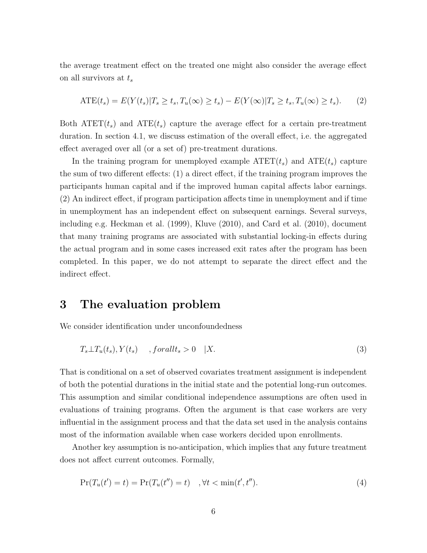the average treatment effect on the treated one might also consider the average effect on all survivors at  $t_s$ 

$$
ATE(t_s) = E(Y(t_s)|T_s \ge t_s, T_u(\infty) \ge t_s) - E(Y(\infty)|T_s \ge t_s, T_u(\infty) \ge t_s).
$$
 (2)

Both  $\text{ATET}(t_s)$  and  $\text{ATE}(t_s)$  capture the average effect for a certain pre-treatment duration. In section 4.1, we discuss estimation of the overall effect, i.e. the aggregated effect averaged over all (or a set of) pre-treatment durations.

In the training program for unemployed example  $\text{ATET}(t_s)$  and  $\text{ATE}(t_s)$  capture the sum of two different effects: (1) a direct effect, if the training program improves the participants human capital and if the improved human capital affects labor earnings. (2) An indirect effect, if program participation affects time in unemployment and if time in unemployment has an independent effect on subsequent earnings. Several surveys, including e.g. Heckman et al. (1999), Kluve (2010), and Card et al. (2010), document that many training programs are associated with substantial locking-in effects during the actual program and in some cases increased exit rates after the program has been completed. In this paper, we do not attempt to separate the direct effect and the indirect effect.

#### 3 The evaluation problem

We consider identification under unconfoundedness

$$
T_s \perp T_u(t_s), Y(t_s) \quad , for all t_s > 0 \quad |X. \tag{3}
$$

That is conditional on a set of observed covariates treatment assignment is independent of both the potential durations in the initial state and the potential long-run outcomes. This assumption and similar conditional independence assumptions are often used in evaluations of training programs. Often the argument is that case workers are very influential in the assignment process and that the data set used in the analysis contains most of the information available when case workers decided upon enrollments.

Another key assumption is no-anticipation, which implies that any future treatment does not affect current outcomes. Formally,

$$
Pr(T_u(t') = t) = Pr(T_u(t'') = t) \quad , \forall t < \min(t', t'').
$$
\n(4)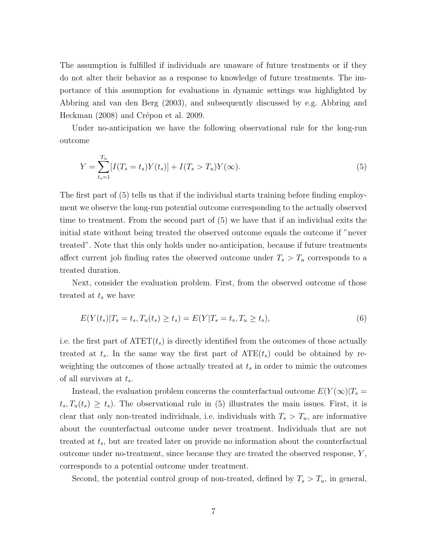The assumption is fulfilled if individuals are unaware of future treatments or if they do not alter their behavior as a response to knowledge of future treatments. The importance of this assumption for evaluations in dynamic settings was highlighted by Abbring and van den Berg (2003), and subsequently discussed by e.g. Abbring and Heckman (2008) and Crépon et al. 2009.

Under no-anticipation we have the following observational rule for the long-run outcome

$$
Y = \sum_{t_s=1}^{T_u} [I(T_s = t_s)Y(t_s)] + I(T_s > T_u)Y(\infty).
$$
\n(5)

The first part of (5) tells us that if the individual starts training before finding employment we observe the long-run potential outcome corresponding to the actually observed time to treatment. From the second part of (5) we have that if an individual exits the initial state without being treated the observed outcome equals the outcome if "never treated". Note that this only holds under no-anticipation, because if future treatments affect current job finding rates the observed outcome under  $T_s > T_u$  corresponds to a treated duration.

Next, consider the evaluation problem. First, from the observed outcome of those treated at  $t_s$  we have

$$
E(Y(t_s)|T_s = t_s, T_u(t_s) \ge t_s) = E(Y|T_s = t_s, T_u \ge t_s),
$$
\n(6)

i.e. the first part of  $\text{ATET}(t_s)$  is directly identified from the outcomes of those actually treated at  $t_s$ . In the same way the first part of  $ATE(t_s)$  could be obtained by reweighting the outcomes of those actually treated at  $t_s$  in order to mimic the outcomes of all survivors at  $t_s$ .

Instead, the evaluation problem concerns the counterfactual outcome  $E(Y(\infty)|T_s=$  $t_s, T_u(t_s) \geq t_s$ ). The observational rule in (5) illustrates the main issues. First, it is clear that only non-treated individuals, i.e. individuals with  $T_s > T_u$ , are informative about the counterfactual outcome under never treatment. Individuals that are not treated at  $t_s$ , but are treated later on provide no information about the counterfactual outcome under no-treatment, since because they are treated the observed response, Y , corresponds to a potential outcome under treatment.

Second, the potential control group of non-treated, defined by  $T_s > T_u$ , in general,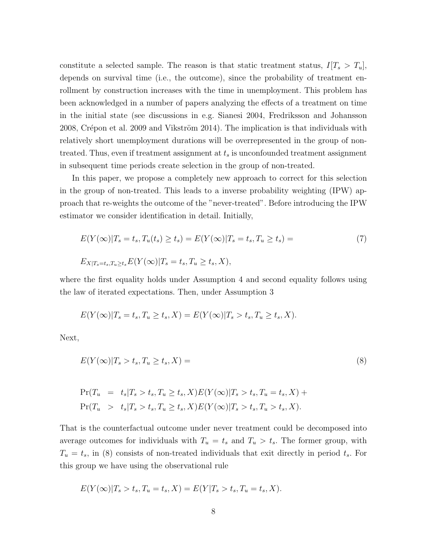constitute a selected sample. The reason is that static treatment status,  $I[T_s > T_u]$ , depends on survival time (i.e., the outcome), since the probability of treatment enrollment by construction increases with the time in unemployment. This problem has been acknowledged in a number of papers analyzing the effects of a treatment on time in the initial state (see discussions in e.g. Sianesi 2004, Fredriksson and Johansson 2008, Crépon et al. 2009 and Vikström 2014). The implication is that individuals with relatively short unemployment durations will be overrepresented in the group of nontreated. Thus, even if treatment assignment at  $t_s$  is unconfounded treatment assignment in subsequent time periods create selection in the group of non-treated.

In this paper, we propose a completely new approach to correct for this selection in the group of non-treated. This leads to a inverse probability weighting (IPW) approach that re-weights the outcome of the "never-treated". Before introducing the IPW estimator we consider identification in detail. Initially,

$$
E(Y(\infty)|T_s = t_s, T_u(t_s) \ge t_s) = E(Y(\infty)|T_s = t_s, T_u \ge t_s) =
$$
  
\n
$$
E_{X|T_s = t_s, T_u \ge t_s} E(Y(\infty)|T_s = t_s, T_u \ge t_s, X),
$$
\n(7)

where the first equality holds under Assumption 4 and second equality follows using the law of iterated expectations. Then, under Assumption 3

$$
E(Y(\infty)|T_s = t_s, T_u \ge t_s, X) = E(Y(\infty)|T_s > t_s, T_u \ge t_s, X).
$$

Next,

$$
E(Y(\infty)|T_s > t_s, T_u \ge t_s, X) = \tag{8}
$$

$$
\Pr(T_u = t_s | T_s > t_s, T_u \ge t_s, X) E(Y(\infty) | T_s > t_s, T_u = t_s, X) +
$$
  
\n
$$
\Pr(T_u > t_s | T_s > t_s, T_u \ge t_s, X) E(Y(\infty) | T_s > t_s, T_u > t_s, X).
$$

That is the counterfactual outcome under never treatment could be decomposed into average outcomes for individuals with  $T_u = t_s$  and  $T_u > t_s$ . The former group, with  $T_u = t_s$ , in (8) consists of non-treated individuals that exit directly in period  $t_s$ . For this group we have using the observational rule

$$
E(Y(\infty)|T_s > t_s, T_u = t_s, X) = E(Y|T_s > t_s, T_u = t_s, X).
$$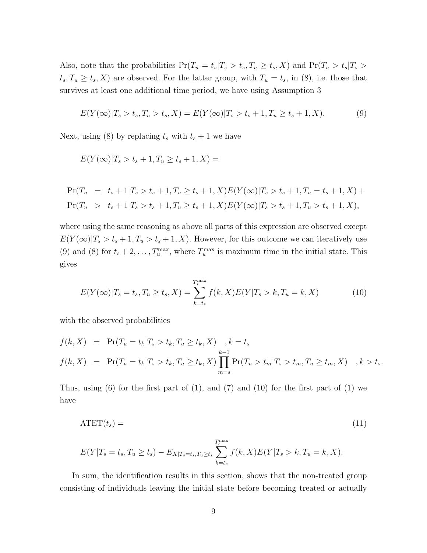Also, note that the probabilities  $Pr(T_u = t_s | T_s > t_s, T_u \ge t_s, X)$  and  $Pr(T_u > t_s | T_s > t_s, T_u \ge t_s, X)$  $t_s, T_u \geq t_s, X$  are observed. For the latter group, with  $T_u = t_s$ , in (8), i.e. those that survives at least one additional time period, we have using Assumption 3

$$
E(Y(\infty)|T_s > t_s, T_u > t_s, X) = E(Y(\infty)|T_s > t_s + 1, T_u \ge t_s + 1, X). \tag{9}
$$

Next, using (8) by replacing  $t_s$  with  $t_s + 1$  we have

$$
E(Y(\infty)|T_s > t_s + 1, T_u \ge t_s + 1, X) =
$$

$$
\Pr(T_u = t_s + 1 | T_s > t_s + 1, T_u \ge t_s + 1, X) E(Y(\infty) | T_s > t_s + 1, T_u = t_s + 1, X) +
$$
\n
$$
\Pr(T_u > t_s + 1 | T_s > t_s + 1, T_u \ge t_s + 1, X) E(Y(\infty) | T_s > t_s + 1, T_u > t_s + 1, X),
$$

where using the same reasoning as above all parts of this expression are observed except  $E(Y(\infty)|T_s > t_s + 1, T_u > t_s + 1, X)$ . However, for this outcome we can iteratively use (9) and (8) for  $t_s + 2, \ldots, T_u^{\max}$ , where  $T_u^{\max}$  is maximum time in the initial state. This gives

$$
E(Y(\infty)|T_s = t_s, T_u \ge t_s, X) = \sum_{k=t_s}^{T_s^{\max}} f(k, X) E(Y|T_s > k, T_u = k, X)
$$
 (10)

with the observed probabilities

$$
f(k, X) = \Pr(T_u = t_k | T_s > t_k, T_u \ge t_k, X) , k = t_s
$$
  

$$
f(k, X) = \Pr(T_u = t_k | T_s > t_k, T_u \ge t_k, X) \prod_{m=s}^{k-1} \Pr(T_u > t_m | T_s > t_m, T_u \ge t_m, X) , k > t_s.
$$

Thus, using  $(6)$  for the first part of  $(1)$ , and  $(7)$  and  $(10)$  for the first part of  $(1)$  we have

$$
ATET(t_s) = (11)
$$

$$
E(Y|T_s = t_s, T_u \ge t_s) - E_{X|T_s = t_s, T_u \ge t_s} \sum_{k=t_s}^{T_s^{\max}} f(k, X) E(Y|T_s > k, T_u = k, X).
$$

In sum, the identification results in this section, shows that the non-treated group consisting of individuals leaving the initial state before becoming treated or actually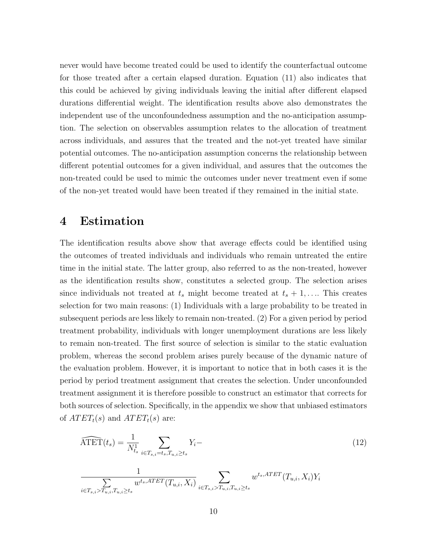never would have become treated could be used to identify the counterfactual outcome for those treated after a certain elapsed duration. Equation (11) also indicates that this could be achieved by giving individuals leaving the initial after different elapsed durations differential weight. The identification results above also demonstrates the independent use of the unconfoundedness assumption and the no-anticipation assumption. The selection on observables assumption relates to the allocation of treatment across individuals, and assures that the treated and the not-yet treated have similar potential outcomes. The no-anticipation assumption concerns the relationship between different potential outcomes for a given individual, and assures that the outcomes the non-treated could be used to mimic the outcomes under never treatment even if some of the non-yet treated would have been treated if they remained in the initial state.

#### 4 Estimation

The identification results above show that average effects could be identified using the outcomes of treated individuals and individuals who remain untreated the entire time in the initial state. The latter group, also referred to as the non-treated, however as the identification results show, constitutes a selected group. The selection arises since individuals not treated at  $t_s$  might become treated at  $t_s + 1, \ldots$ . This creates selection for two main reasons: (1) Individuals with a large probability to be treated in subsequent periods are less likely to remain non-treated. (2) For a given period by period treatment probability, individuals with longer unemployment durations are less likely to remain non-treated. The first source of selection is similar to the static evaluation problem, whereas the second problem arises purely because of the dynamic nature of the evaluation problem. However, it is important to notice that in both cases it is the period by period treatment assignment that creates the selection. Under unconfounded treatment assignment it is therefore possible to construct an estimator that corrects for both sources of selection. Specifically, in the appendix we show that unbiased estimators of  $ATET<sub>t</sub>(s)$  and  $ATET<sub>t</sub>(s)$  are:

$$
\widehat{\text{ATET}}(t_s) = \frac{1}{N_{ts}^1} \sum_{i \in T_{s,i} = t_s, T_{u,i} \ge t_s} Y_i -
$$
\n
$$
\frac{1}{\sum_{i \in T_{s,i} > T_{u,i}, T_{u,i} \ge t_s} w^{t_s, \text{ATET}}(T_{u,i}, X_i)} \sum_{i \in T_{s,i} > T_{u,i}, T_{u,i} \ge t_s} w^{t_s, \text{ATET}}(T_{u,i}, X_i) Y_i
$$
\n
$$
(12)
$$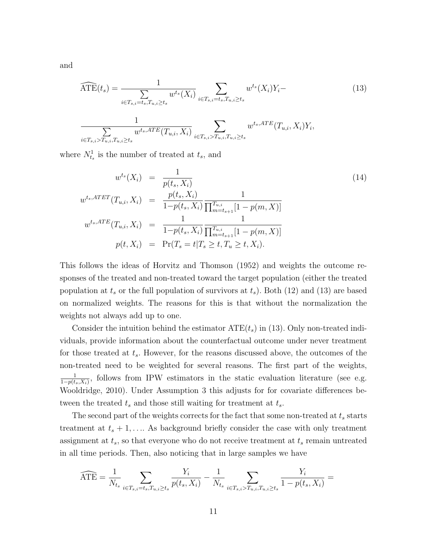and

$$
\widehat{\text{ATE}}(t_s) = \frac{1}{\sum_{i \in T_{s,i} = t_s, T_{u,i} \ge t_s} w^{t_s}(X_i)} \sum_{i \in T_{s,i} = t_s, T_{u,i} \ge t_s} w^{t_s}(X_i) Y_i - (13)
$$

$$
\frac{1}{\sum_{i \in T_{s,i} > T_{u,i}, T_{u,i} \ge t_s} w^{t_s,ATE}(T_{u,i}, X_i)} \sum_{i \in T_{s,i} > T_{u,i}, T_{u,i} \ge t_s} w^{t_s,ATE}(T_{u,i}, X_i) Y_i,
$$

where  $N_{t_s}^1$  is the number of treated at  $t_s$ , and

$$
w^{t_s}(X_i) = \frac{1}{p(t_s, X_i)}
$$
  
\n
$$
w^{t_s, ATET}(T_{u,i}, X_i) = \frac{p(t_s, X_i)}{1 - p(t_s, X_i)} \frac{1}{\prod_{m=t_{s+1}}^{T_{u,i}} [1 - p(m, X)]}
$$
  
\n
$$
w^{t_s, ATE}(T_{u,i}, X_i) = \frac{1}{1 - p(t_s, X_i)} \frac{1}{\prod_{m=t_{s+1}}^{T_{u,i}} [1 - p(m, X)]}
$$
  
\n
$$
p(t, X_i) = \Pr(T_s = t | T_s \ge t, T_u \ge t, X_i).
$$
\n(14)

This follows the ideas of Horvitz and Thomson (1952) and weights the outcome responses of the treated and non-treated toward the target population (either the treated population at  $t_s$  or the full population of survivors at  $t_s$ ). Both (12) and (13) are based on normalized weights. The reasons for this is that without the normalization the weights not always add up to one.

Consider the intuition behind the estimator  $ATE(t<sub>s</sub>)$  in (13). Only non-treated individuals, provide information about the counterfactual outcome under never treatment for those treated at  $t_s$ . However, for the reasons discussed above, the outcomes of the non-treated need to be weighted for several reasons. The first part of the weights, 1  $\frac{1}{1-p(t_s,X_i)}$ , follows from IPW estimators in the static evaluation literature (see e.g. Wooldridge, 2010). Under Assumption 3 this adjusts for for covariate differences between the treated  $t_s$  and those still waiting for treatment at  $t_s$ .

The second part of the weights corrects for the fact that some non-treated at  $t_s$  starts treatment at  $t_s + 1, \ldots$  As background briefly consider the case with only treatment assignment at  $t_s$ , so that everyone who do not receive treatment at  $t_s$  remain untreated in all time periods. Then, also noticing that in large samples we have

$$
\widehat{\text{ATE}} = \frac{1}{N_{t_s}} \sum_{i \in T_{s,i} = t_s, T_{u,i} \ge t_s} \frac{Y_i}{p(t_s, X_i)} - \frac{1}{N_{t_s}} \sum_{i \in T_{s,i} > T_{u,i}, T_{u,i} \ge t_s} \frac{Y_i}{1 - p(t_s, X_i)} =
$$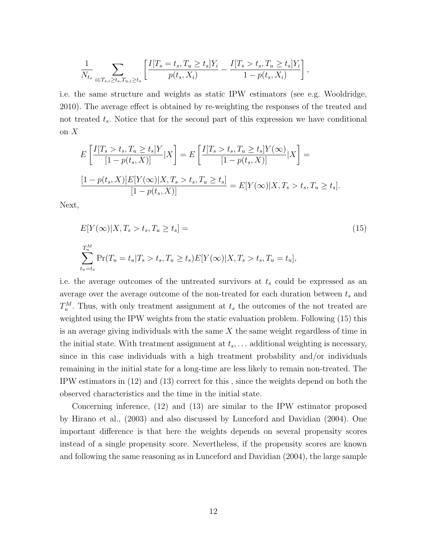$$
\frac{1}{N_{t_s}} \sum_{i \in T_{s,i} \ge t_s, T_{u,i} \ge t_s} \left[ \frac{I[T_s = t_s, T_u \ge t_s]Y_i}{p(t_s, X_i)} - \frac{I[T_s > t_s, T_u \ge t_s]Y_i}{1 - p(t_s, X_i)} \right],
$$

i.e. the same structure and weights as static IPW estimators (see e.g. Wooldridge, 2010). The average effect is obtained by re-weighting the responses of the treated and not treated  $t_s$ . Notice that for the second part of this expression we have conditional on  $X$ 

$$
E\left[\frac{I[T_s > t_s, T_u \ge t_s]Y}{[1 - p(t_s, X)]} | X\right] = E\left[\frac{I[T_s > t_s, T_u \ge t_s]Y(\infty)}{[1 - p(t_s, X)]} | X\right] = \frac{[1 - p(t_s, X)]E[Y(\infty)|X, T_s > t_s, T_u \ge t_s]}{[1 - p(t_s, X)]} = E[Y(\infty)|X, T_s > t_s, T_u \ge t_s].
$$

Next,

$$
E[Y(\infty)|X, T_s > t_s, T_u \ge t_s] =
$$
  
\n
$$
\sum_{t_u=t_s}^{T_u^M} \Pr(T_u = t_u | T_s > t_s, T_u \ge t_s) E[Y(\infty)|X, T_s > t_s, T_u = t_u],
$$
\n(15)

i.e. the average outcomes of the untreated survivors at  $t_s$  could be expressed as an average over the average outcome of the non-treated for each duration between  $t_s$  and  $T_u^M$ . Thus, with only treatment assignment at  $t_s$  the outcomes of the not treated are weighted using the IPW weights from the static evaluation problem. Following (15) this is an average giving individuals with the same  $X$  the same weight regardless of time in the initial state. With treatment assignment at  $t_s, \ldots$  additional weighting is necessary, since in this case individuals with a high treatment probability and/or individuals remaining in the initial state for a long-time are less likely to remain non-treated. The IPW estimators in (12) and (13) correct for this , since the weights depend on both the observed characteristics and the time in the initial state.

Concerning inference, (12) and (13) are similar to the IPW estimator proposed by Hirano et al., (2003) and also discussed by Lunceford and Davidian (2004). One important difference is that here the weights depends on several propensity scores instead of a single propensity score. Nevertheless, if the propensity scores are known and following the same reasoning as in Lunceford and Davidian (2004), the large sample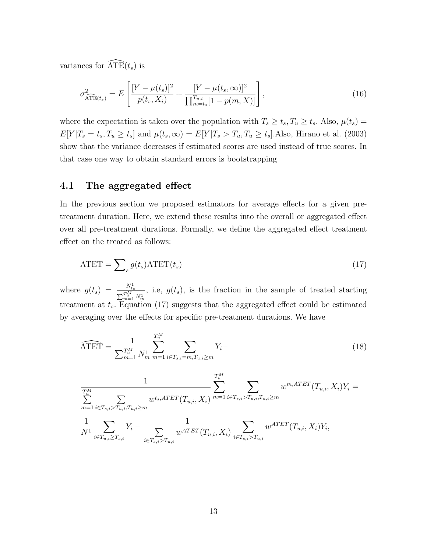variances for  $\widehat{\text{ATE}}(t_s)$  is

$$
\sigma_{\widehat{\text{ATE}}(t_s)}^2 = E\left[\frac{[Y - \mu(t_s)]^2}{p(t_s, X_i)} + \frac{[Y - \mu(t_s, \infty)]^2}{\prod_{m=t_s}^{T_{u,i}}[1 - p(m, X)]}\right],\tag{16}
$$

where the expectation is taken over the population with  $T_s \ge t_s$ ,  $T_u \ge t_s$ . Also,  $\mu(t_s) =$  $E[Y|T_s = t_s, T_u \ge t_s]$  and  $\mu(t_s, \infty) = E[Y|T_s > T_u, T_u \ge t_s]$ . Also, Hirano et al. (2003) show that the variance decreases if estimated scores are used instead of true scores. In that case one way to obtain standard errors is bootstrapping

#### 4.1 The aggregated effect

In the previous section we proposed estimators for average effects for a given pretreatment duration. Here, we extend these results into the overall or aggregated effect over all pre-treatment durations. Formally, we define the aggregated effect treatment effect on the treated as follows:

$$
ATET = \sum_{s} g(t_s) ATET(t_s)
$$
\n(17)

where  $g(t_s) = \frac{N_{t_s}^1}{\sum_{m=1}^{T_{w}^M} N_m^1}$ , i.e,  $g(t_s)$ , is the fraction in the sample of treated starting treatment at  $t_s$ . Equation (17) suggests that the aggregated effect could be estimated by averaging over the effects for specific pre-treatment durations. We have

$$
\widehat{\text{ATET}} = \frac{1}{\sum_{m=1}^{T_u^M} N_m^1} \sum_{m=1}^{T_u^M} \sum_{i \in T_{s,i} = m, T_{u,i} \ge m} Y_i -
$$
\n(18)

$$
\frac{1}{T_{u}^{M}}\sum_{m=1}^{T_{u}^{M}}\sum_{i\in T_{s,i} > T_{u,i}, T_{u,i}\geq m} w^{ts,ATET}(T_{u,i}, X_i) \sum_{m=1}^{T_{u}^{M}}\sum_{i\in T_{s,i} > T_{u,i}, T_{u,i}\geq m} w^{m,ATET}(T_{u,i}, X_i)Y_i = \frac{1}{N^{1}}\sum_{i\in T_{u,i}\geq T_{s,i}} Y_i - \frac{1}{\sum_{i\in T_{s,i} > T_{u,i}} w^{ATET}(T_{u,i}, X_i)} \sum_{i\in T_{s,i} > T_{u,i}} w^{ATET}(T_{u,i}, X_i)Y_i,
$$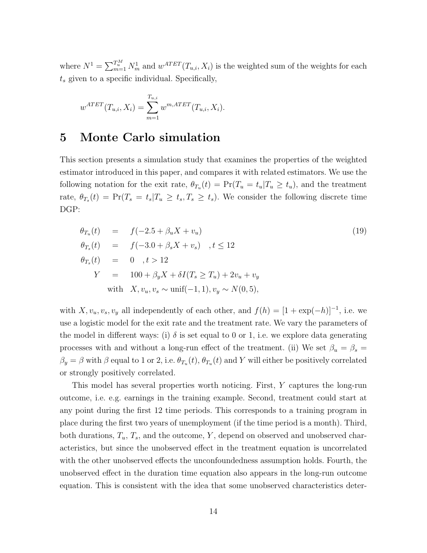where  $N^1 = \sum_{m=1}^{T_u^M} N_m^1$  and  $w^{ATET}(T_{u,i}, X_i)$  is the weighted sum of the weights for each  $t_s$  given to a specific individual. Specifically,

$$
w^{ATET}(T_{u,i}, X_i) = \sum_{m=1}^{T_{u,i}} w^{m,ATET}(T_{u,i}, X_i).
$$

#### 5 Monte Carlo simulation

This section presents a simulation study that examines the properties of the weighted estimator introduced in this paper, and compares it with related estimators. We use the following notation for the exit rate,  $\theta_{T_u}(t) = \Pr(T_u = t_u | T_u \ge t_u)$ , and the treatment rate,  $\theta_{T_s}(t) = \Pr(T_s = t_s | T_u \ge t_s, T_s \ge t_s)$ . We consider the following discrete time DGP:

$$
\theta_{T_u}(t) = f(-2.5 + \beta_u X + v_u) \n\theta_{T_s}(t) = f(-3.0 + \beta_s X + v_s) , t \le 12 \n\theta_{T_s}(t) = 0 , t > 12 \nY = 100 + \beta_y X + \delta I(T_s \ge T_u) + 2v_u + v_y \n\text{with } X, v_u, v_s \sim \text{unif}(-1, 1), v_y \sim N(0, 5),
$$
\n(19)

with  $X, v_u, v_s, v_y$  all independently of each other, and  $f(h) = [1 + \exp(-h)]^{-1}$ , i.e. we use a logistic model for the exit rate and the treatment rate. We vary the parameters of the model in different ways: (i)  $\delta$  is set equal to 0 or 1, i.e. we explore data generating processes with and without a long-run effect of the treatment. (ii) We set  $\beta_u = \beta_s =$  $\beta_y = \beta$  with  $\beta$  equal to 1 or 2, i.e.  $\theta_{T_u}(t)$ ,  $\theta_{T_u}(t)$  and Y will either be positively correlated or strongly positively correlated.

This model has several properties worth noticing. First, Y captures the long-run outcome, i.e. e.g. earnings in the training example. Second, treatment could start at any point during the first 12 time periods. This corresponds to a training program in place during the first two years of unemployment (if the time period is a month). Third, both durations,  $T_u$ ,  $T_s$ , and the outcome, Y, depend on observed and unobserved characteristics, but since the unobserved effect in the treatment equation is uncorrelated with the other unobserved effects the unconfoundedness assumption holds. Fourth, the unobserved effect in the duration time equation also appears in the long-run outcome equation. This is consistent with the idea that some unobserved characteristics deter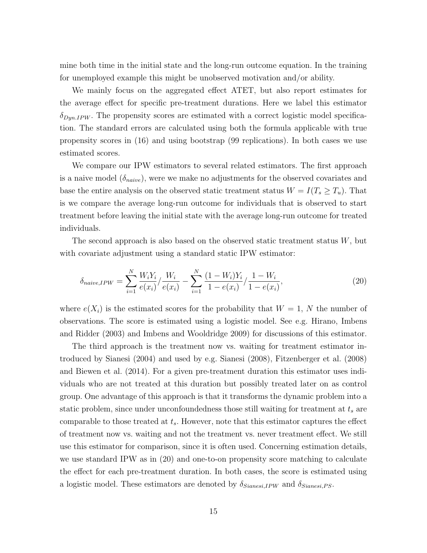mine both time in the initial state and the long-run outcome equation. In the training for unemployed example this might be unobserved motivation and/or ability.

We mainly focus on the aggregated effect ATET, but also report estimates for the average effect for specific pre-treatment durations. Here we label this estimator  $\delta_{Dyn.PW}$ . The propensity scores are estimated with a correct logistic model specification. The standard errors are calculated using both the formula applicable with true propensity scores in (16) and using bootstrap (99 replications). In both cases we use estimated scores.

We compare our IPW estimators to several related estimators. The first approach is a naive model  $(\delta_{naive})$ , were we make no adjustments for the observed covariates and base the entire analysis on the observed static treatment status  $W = I(T_s \geq T_u)$ . That is we compare the average long-run outcome for individuals that is observed to start treatment before leaving the initial state with the average long-run outcome for treated individuals.

The second approach is also based on the observed static treatment status  $W$ , but with covariate adjustment using a standard static IPW estimator:

$$
\delta_{naive,IPW} = \sum_{i=1}^{N} \frac{W_i Y_i}{e(x_i)} / \frac{W_i}{e(x_i)} - \sum_{i=1}^{N} \frac{(1 - W_i) Y_i}{1 - e(x_i)} / \frac{1 - W_i}{1 - e(x_i)},
$$
\n(20)

where  $e(X_i)$  is the estimated scores for the probability that  $W = 1, N$  the number of observations. The score is estimated using a logistic model. See e.g. Hirano, Imbens and Ridder (2003) and Imbens and Wooldridge 2009) for discussions of this estimator.

The third approach is the treatment now vs. waiting for treatment estimator introduced by Sianesi (2004) and used by e.g. Sianesi (2008), Fitzenberger et al. (2008) and Biewen et al. (2014). For a given pre-treatment duration this estimator uses individuals who are not treated at this duration but possibly treated later on as control group. One advantage of this approach is that it transforms the dynamic problem into a static problem, since under unconfoundedness those still waiting for treatment at  $t_s$  are comparable to those treated at  $t_s$ . However, note that this estimator captures the effect of treatment now vs. waiting and not the treatment vs. never treatment effect. We still use this estimator for comparison, since it is often used. Concerning estimation details, we use standard IPW as in (20) and one-to-on propensity score matching to calculate the effect for each pre-treatment duration. In both cases, the score is estimated using a logistic model. These estimators are denoted by  $\delta_{Sianesi,IPW}$  and  $\delta_{Sianesi,PS}$ .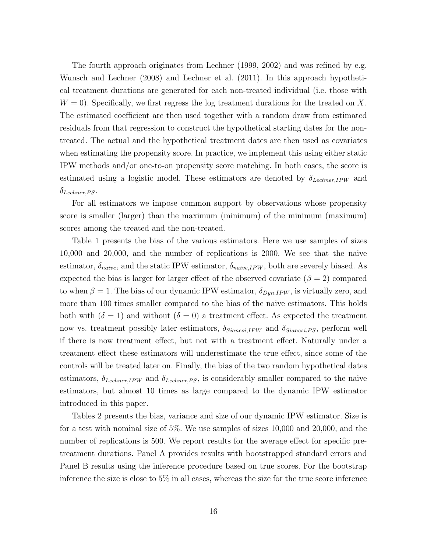The fourth approach originates from Lechner (1999, 2002) and was refined by e.g. Wunsch and Lechner (2008) and Lechner et al. (2011). In this approach hypothetical treatment durations are generated for each non-treated individual (i.e. those with  $W = 0$ ). Specifically, we first regress the log treatment durations for the treated on X. The estimated coefficient are then used together with a random draw from estimated residuals from that regression to construct the hypothetical starting dates for the nontreated. The actual and the hypothetical treatment dates are then used as covariates when estimating the propensity score. In practice, we implement this using either static IPW methods and/or one-to-on propensity score matching. In both cases, the score is estimated using a logistic model. These estimators are denoted by  $\delta_{Lechner,IPW}$  and  $\delta_{Lechner, PS}.$ 

For all estimators we impose common support by observations whose propensity score is smaller (larger) than the maximum (minimum) of the minimum (maximum) scores among the treated and the non-treated.

Table 1 presents the bias of the various estimators. Here we use samples of sizes 10,000 and 20,000, and the number of replications is 2000. We see that the naive estimator,  $\delta_{naive}$ , and the static IPW estimator,  $\delta_{naive,IPW}$ , both are severely biased. As expected the bias is larger for larger effect of the observed covariate ( $\beta = 2$ ) compared to when  $\beta = 1$ . The bias of our dynamic IPW estimator,  $\delta_{DynIPW}$ , is virtually zero, and more than 100 times smaller compared to the bias of the naive estimators. This holds both with  $(\delta = 1)$  and without  $(\delta = 0)$  a treatment effect. As expected the treatment now vs. treatment possibly later estimators,  $\delta_{Sianesi,IPW}$  and  $\delta_{Sianesi,PS}$ , perform well if there is now treatment effect, but not with a treatment effect. Naturally under a treatment effect these estimators will underestimate the true effect, since some of the controls will be treated later on. Finally, the bias of the two random hypothetical dates estimators,  $\delta_{Lechner,IPW}$  and  $\delta_{Lechner,PS}$ , is considerably smaller compared to the naive estimators, but almost 10 times as large compared to the dynamic IPW estimator introduced in this paper.

Tables 2 presents the bias, variance and size of our dynamic IPW estimator. Size is for a test with nominal size of 5%. We use samples of sizes 10,000 and 20,000, and the number of replications is 500. We report results for the average effect for specific pretreatment durations. Panel A provides results with bootstrapped standard errors and Panel B results using the inference procedure based on true scores. For the bootstrap inference the size is close to  $5\%$  in all cases, whereas the size for the true score inference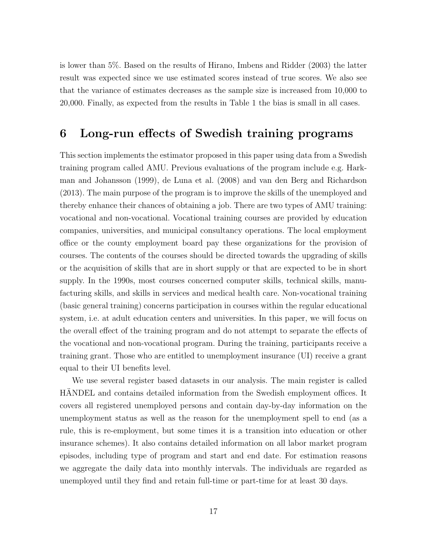is lower than 5%. Based on the results of Hirano, Imbens and Ridder (2003) the latter result was expected since we use estimated scores instead of true scores. We also see that the variance of estimates decreases as the sample size is increased from 10,000 to 20,000. Finally, as expected from the results in Table 1 the bias is small in all cases.

#### 6 Long-run effects of Swedish training programs

This section implements the estimator proposed in this paper using data from a Swedish training program called AMU. Previous evaluations of the program include e.g. Harkman and Johansson (1999), de Luna et al. (2008) and van den Berg and Richardson (2013). The main purpose of the program is to improve the skills of the unemployed and thereby enhance their chances of obtaining a job. There are two types of AMU training: vocational and non-vocational. Vocational training courses are provided by education companies, universities, and municipal consultancy operations. The local employment office or the county employment board pay these organizations for the provision of courses. The contents of the courses should be directed towards the upgrading of skills or the acquisition of skills that are in short supply or that are expected to be in short supply. In the 1990s, most courses concerned computer skills, technical skills, manufacturing skills, and skills in services and medical health care. Non-vocational training (basic general training) concerns participation in courses within the regular educational system, i.e. at adult education centers and universities. In this paper, we will focus on the overall effect of the training program and do not attempt to separate the effects of the vocational and non-vocational program. During the training, participants receive a training grant. Those who are entitled to unemployment insurance (UI) receive a grant equal to their UI benefits level.

We use several register based datasets in our analysis. The main register is called HANDEL and contains detailed information from the Swedish employment offices. It covers all registered unemployed persons and contain day-by-day information on the unemployment status as well as the reason for the unemployment spell to end (as a rule, this is re-employment, but some times it is a transition into education or other insurance schemes). It also contains detailed information on all labor market program episodes, including type of program and start and end date. For estimation reasons we aggregate the daily data into monthly intervals. The individuals are regarded as unemployed until they find and retain full-time or part-time for at least 30 days.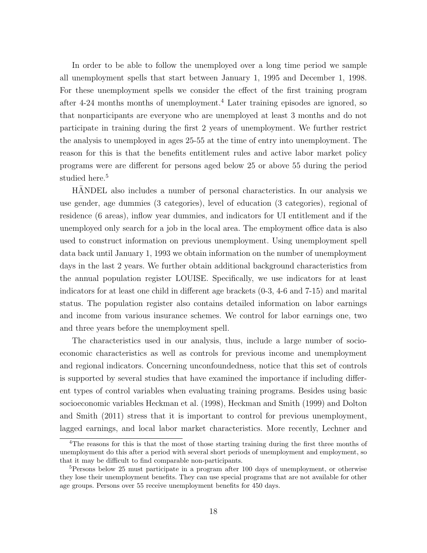In order to be able to follow the unemployed over a long time period we sample all unemployment spells that start between January 1, 1995 and December 1, 1998. For these unemployment spells we consider the effect of the first training program after 4-24 months months of unemployment.<sup>4</sup> Later training episodes are ignored, so that nonparticipants are everyone who are unemployed at least 3 months and do not participate in training during the first 2 years of unemployment. We further restrict the analysis to unemployed in ages 25-55 at the time of entry into unemployment. The reason for this is that the benefits entitlement rules and active labor market policy programs were are different for persons aged below 25 or above 55 during the period studied here.<sup>5</sup>

HANDEL also includes a number of personal characteristics. In our analysis we use gender, age dummies (3 categories), level of education (3 categories), regional of residence (6 areas), inflow year dummies, and indicators for UI entitlement and if the unemployed only search for a job in the local area. The employment office data is also used to construct information on previous unemployment. Using unemployment spell data back until January 1, 1993 we obtain information on the number of unemployment days in the last 2 years. We further obtain additional background characteristics from the annual population register LOUISE. Specifically, we use indicators for at least indicators for at least one child in different age brackets (0-3, 4-6 and 7-15) and marital status. The population register also contains detailed information on labor earnings and income from various insurance schemes. We control for labor earnings one, two and three years before the unemployment spell.

The characteristics used in our analysis, thus, include a large number of socioeconomic characteristics as well as controls for previous income and unemployment and regional indicators. Concerning unconfoundedness, notice that this set of controls is supported by several studies that have examined the importance if including different types of control variables when evaluating training programs. Besides using basic socioeconomic variables Heckman et al. (1998), Heckman and Smith (1999) and Dolton and Smith (2011) stress that it is important to control for previous unemployment, lagged earnings, and local labor market characteristics. More recently, Lechner and

<sup>&</sup>lt;sup>4</sup>The reasons for this is that the most of those starting training during the first three months of unemployment do this after a period with several short periods of unemployment and employment, so that it may be difficult to find comparable non-participants.

 $5$ Persons below 25 must participate in a program after 100 days of unemployment, or otherwise they lose their unemployment benefits. They can use special programs that are not available for other age groups. Persons over 55 receive unemployment benefits for 450 days.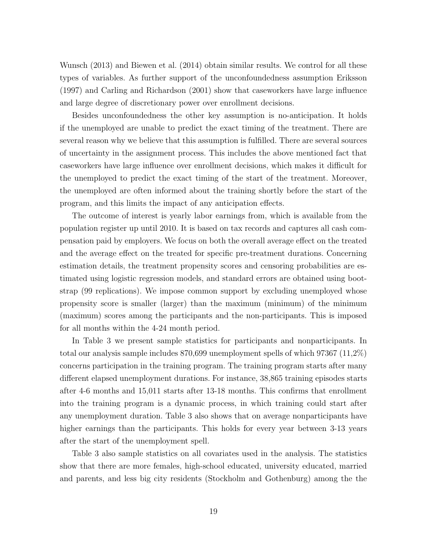Wunsch (2013) and Biewen et al. (2014) obtain similar results. We control for all these types of variables. As further support of the unconfoundedness assumption Eriksson (1997) and Carling and Richardson (2001) show that caseworkers have large influence and large degree of discretionary power over enrollment decisions.

Besides unconfoundedness the other key assumption is no-anticipation. It holds if the unemployed are unable to predict the exact timing of the treatment. There are several reason why we believe that this assumption is fulfilled. There are several sources of uncertainty in the assignment process. This includes the above mentioned fact that caseworkers have large influence over enrollment decisions, which makes it difficult for the unemployed to predict the exact timing of the start of the treatment. Moreover, the unemployed are often informed about the training shortly before the start of the program, and this limits the impact of any anticipation effects.

The outcome of interest is yearly labor earnings from, which is available from the population register up until 2010. It is based on tax records and captures all cash compensation paid by employers. We focus on both the overall average effect on the treated and the average effect on the treated for specific pre-treatment durations. Concerning estimation details, the treatment propensity scores and censoring probabilities are estimated using logistic regression models, and standard errors are obtained using bootstrap (99 replications). We impose common support by excluding unemployed whose propensity score is smaller (larger) than the maximum (minimum) of the minimum (maximum) scores among the participants and the non-participants. This is imposed for all months within the 4-24 month period.

In Table 3 we present sample statistics for participants and nonparticipants. In total our analysis sample includes 870,699 unemployment spells of which 97367 (11,2%) concerns participation in the training program. The training program starts after many different elapsed unemployment durations. For instance, 38,865 training episodes starts after 4-6 months and 15,011 starts after 13-18 months. This confirms that enrollment into the training program is a dynamic process, in which training could start after any unemployment duration. Table 3 also shows that on average nonparticipants have higher earnings than the participants. This holds for every year between 3-13 years after the start of the unemployment spell.

Table 3 also sample statistics on all covariates used in the analysis. The statistics show that there are more females, high-school educated, university educated, married and parents, and less big city residents (Stockholm and Gothenburg) among the the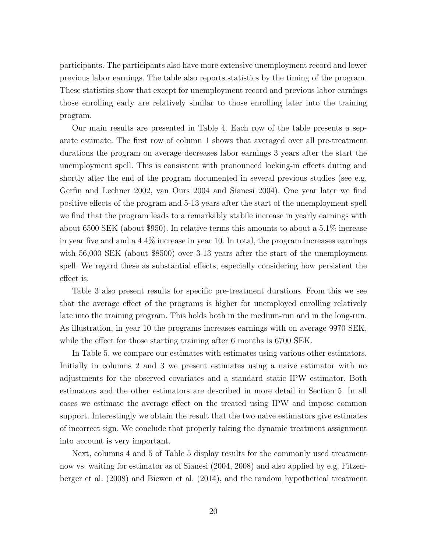participants. The participants also have more extensive unemployment record and lower previous labor earnings. The table also reports statistics by the timing of the program. These statistics show that except for unemployment record and previous labor earnings those enrolling early are relatively similar to those enrolling later into the training program.

Our main results are presented in Table 4. Each row of the table presents a separate estimate. The first row of column 1 shows that averaged over all pre-treatment durations the program on average decreases labor earnings 3 years after the start the unemployment spell. This is consistent with pronounced locking-in effects during and shortly after the end of the program documented in several previous studies (see e.g. Gerfin and Lechner 2002, van Ours 2004 and Sianesi 2004). One year later we find positive effects of the program and 5-13 years after the start of the unemployment spell we find that the program leads to a remarkably stabile increase in yearly earnings with about 6500 SEK (about \$950). In relative terms this amounts to about a 5.1% increase in year five and and a 4.4% increase in year 10. In total, the program increases earnings with 56,000 SEK (about \$8500) over 3-13 years after the start of the unemployment spell. We regard these as substantial effects, especially considering how persistent the effect is.

Table 3 also present results for specific pre-treatment durations. From this we see that the average effect of the programs is higher for unemployed enrolling relatively late into the training program. This holds both in the medium-run and in the long-run. As illustration, in year 10 the programs increases earnings with on average 9970 SEK, while the effect for those starting training after 6 months is 6700 SEK.

In Table 5, we compare our estimates with estimates using various other estimators. Initially in columns 2 and 3 we present estimates using a naive estimator with no adjustments for the observed covariates and a standard static IPW estimator. Both estimators and the other estimators are described in more detail in Section 5. In all cases we estimate the average effect on the treated using IPW and impose common support. Interestingly we obtain the result that the two naive estimators give estimates of incorrect sign. We conclude that properly taking the dynamic treatment assignment into account is very important.

Next, columns 4 and 5 of Table 5 display results for the commonly used treatment now vs. waiting for estimator as of Sianesi (2004, 2008) and also applied by e.g. Fitzenberger et al. (2008) and Biewen et al. (2014), and the random hypothetical treatment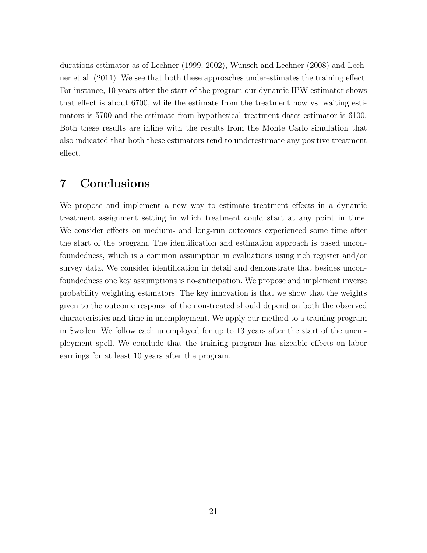durations estimator as of Lechner (1999, 2002), Wunsch and Lechner (2008) and Lechner et al. (2011). We see that both these approaches underestimates the training effect. For instance, 10 years after the start of the program our dynamic IPW estimator shows that effect is about 6700, while the estimate from the treatment now vs. waiting estimators is 5700 and the estimate from hypothetical treatment dates estimator is 6100. Both these results are inline with the results from the Monte Carlo simulation that also indicated that both these estimators tend to underestimate any positive treatment effect.

#### 7 Conclusions

We propose and implement a new way to estimate treatment effects in a dynamic treatment assignment setting in which treatment could start at any point in time. We consider effects on medium- and long-run outcomes experienced some time after the start of the program. The identification and estimation approach is based unconfoundedness, which is a common assumption in evaluations using rich register and/or survey data. We consider identification in detail and demonstrate that besides unconfoundedness one key assumptions is no-anticipation. We propose and implement inverse probability weighting estimators. The key innovation is that we show that the weights given to the outcome response of the non-treated should depend on both the observed characteristics and time in unemployment. We apply our method to a training program in Sweden. We follow each unemployed for up to 13 years after the start of the unemployment spell. We conclude that the training program has sizeable effects on labor earnings for at least 10 years after the program.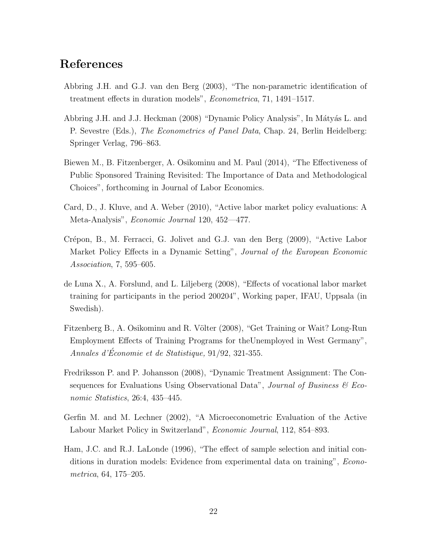### References

- Abbring J.H. and G.J. van den Berg (2003), "The non-parametric identification of treatment effects in duration models", Econometrica, 71, 1491–1517.
- Abbring J.H. and J.J. Heckman (2008) "Dynamic Policy Analysis", In Mátyás L. and P. Sevestre (Eds.), The Econometrics of Panel Data, Chap. 24, Berlin Heidelberg: Springer Verlag, 796–863.
- Biewen M., B. Fitzenberger, A. Osikominu and M. Paul (2014), "The Effectiveness of Public Sponsored Training Revisited: The Importance of Data and Methodological Choices", forthcoming in Journal of Labor Economics.
- Card, D., J. Kluve, and A. Weber (2010), "Active labor market policy evaluations: A Meta-Analysis", Economic Journal 120, 452—477.
- Crépon, B., M. Ferracci, G. Jolivet and G.J. van den Berg (2009), "Active Labor Market Policy Effects in a Dynamic Setting", Journal of the European Economic Association, 7, 595–605.
- de Luna X., A. Forslund, and L. Liljeberg (2008), "Effects of vocational labor market training for participants in the period 200204", Working paper, IFAU, Uppsala (in Swedish).
- Fitzenberg B., A. Osikominu and R. Völter (2008), "Get Training or Wait? Long-Run Employment Effects of Training Programs for theUnemployed in West Germany", Annales d'Économie et de Statistique,  $91/92$ , 321-355.
- Fredriksson P. and P. Johansson (2008), "Dynamic Treatment Assignment: The Consequences for Evaluations Using Observational Data", Journal of Business  $\mathcal{C}$  Economic Statistics, 26:4, 435–445.
- Gerfin M. and M. Lechner (2002), "A Microeconometric Evaluation of the Active Labour Market Policy in Switzerland", Economic Journal, 112, 854–893.
- Ham, J.C. and R.J. LaLonde (1996), "The effect of sample selection and initial conditions in duration models: Evidence from experimental data on training", Econometrica, 64, 175–205.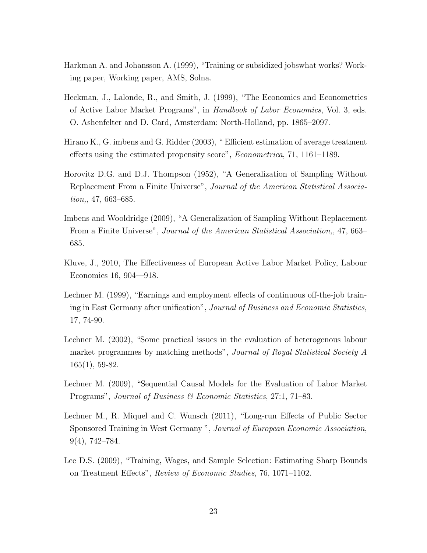- Harkman A. and Johansson A. (1999), "Training or subsidized jobswhat works? Working paper, Working paper, AMS, Solna.
- Heckman, J., Lalonde, R., and Smith, J. (1999), "The Economics and Econometrics of Active Labor Market Programs", in Handbook of Labor Economics, Vol. 3, eds. O. Ashenfelter and D. Card, Amsterdam: North-Holland, pp. 1865–2097.
- Hirano K., G. imbens and G. Ridder (2003), " Efficient estimation of average treatment effects using the estimated propensity score", Econometrica, 71, 1161–1189.
- Horovitz D.G. and D.J. Thompson (1952), "A Generalization of Sampling Without Replacement From a Finite Universe", Journal of the American Statistical Association,, 47, 663–685.
- Imbens and Wooldridge (2009), "A Generalization of Sampling Without Replacement From a Finite Universe", Journal of the American Statistical Association,, 47, 663– 685.
- Kluve, J., 2010, The Effectiveness of European Active Labor Market Policy, Labour Economics 16, 904—918.
- Lechner M. (1999), "Earnings and employment effects of continuous off-the-job training in East Germany after unification", Journal of Business and Economic Statistics, 17, 74-90.
- Lechner M. (2002), "Some practical issues in the evaluation of heterogenous labour market programmes by matching methods", Journal of Royal Statistical Society A 165(1), 59-82.
- Lechner M. (2009), "Sequential Causal Models for the Evaluation of Labor Market Programs", Journal of Business & Economic Statistics, 27:1, 71–83.
- Lechner M., R. Miquel and C. Wunsch (2011), "Long-run Effects of Public Sector Sponsored Training in West Germany ", Journal of European Economic Association, 9(4), 742–784.
- Lee D.S. (2009), "Training, Wages, and Sample Selection: Estimating Sharp Bounds on Treatment Effects", Review of Economic Studies, 76, 1071–1102.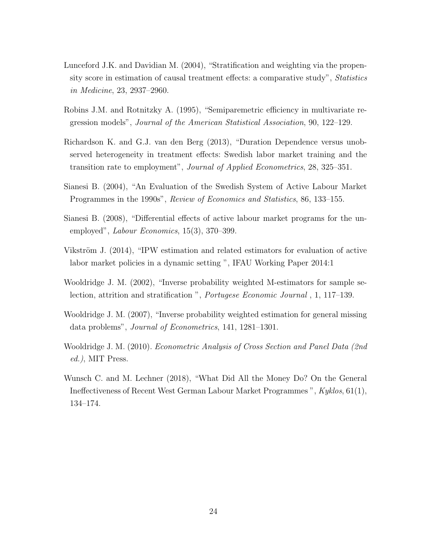- Lunceford J.K. and Davidian M. (2004), "Stratification and weighting via the propensity score in estimation of causal treatment effects: a comparative study", Statistics in Medicine, 23, 2937–2960.
- Robins J.M. and Rotnitzky A. (1995), "Semiparemetric efficiency in multivariate regression models", Journal of the American Statistical Association, 90, 122–129.
- Richardson K. and G.J. van den Berg (2013), "Duration Dependence versus unobserved heterogeneity in treatment effects: Swedish labor market training and the transition rate to employment", Journal of Applied Econometrics, 28, 325–351.
- Sianesi B. (2004), "An Evaluation of the Swedish System of Active Labour Market Programmes in the 1990s", Review of Economics and Statistics, 86, 133–155.
- Sianesi B. (2008), "Differential effects of active labour market programs for the unemployed", Labour Economics, 15(3), 370–399.
- Vikström J.  $(2014)$ , "IPW estimation and related estimators for evaluation of active labor market policies in a dynamic setting ", IFAU Working Paper 2014:1
- Wooldridge J. M. (2002), "Inverse probability weighted M-estimators for sample selection, attrition and stratification ", Portugese Economic Journal , 1, 117–139.
- Wooldridge J. M. (2007), "Inverse probability weighted estimation for general missing data problems", Journal of Econometrics, 141, 1281–1301.
- Wooldridge J. M. (2010). Econometric Analysis of Cross Section and Panel Data (2nd ed.), MIT Press.
- Wunsch C. and M. Lechner (2018), "What Did All the Money Do? On the General Ineffectiveness of Recent West German Labour Market Programmes ", Kyklos, 61(1), 134–174.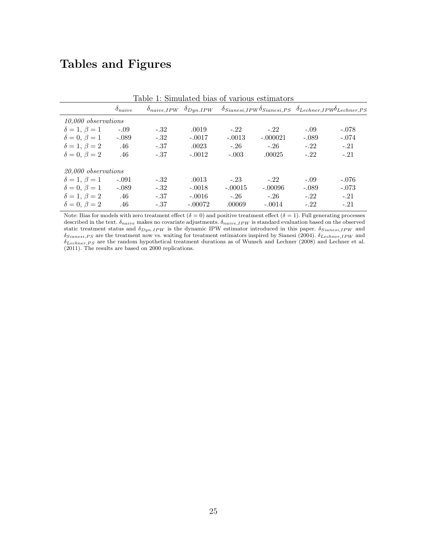## Tables and Figures

| Table 1: Simulated bias of various estimators |                  |        |           |           |                                                                                                                                   |         |         |  |  |
|-----------------------------------------------|------------------|--------|-----------|-----------|-----------------------------------------------------------------------------------------------------------------------------------|---------|---------|--|--|
|                                               | $\delta_{naive}$ |        |           |           | $\delta_{naive,IPW}$ $\delta_{Dyn.IPW}$ $\delta_{Sianesi,IPW}$ $\delta_{Sianesi,PS}$ $\delta_{Lechner,IPW}$ $\delta_{Lechner,PS}$ |         |         |  |  |
| 10,000 observations                           |                  |        |           |           |                                                                                                                                   |         |         |  |  |
| $\delta = 1, \beta = 1$                       | $-.09$           | $-.32$ | .0019     | $-.22$    | $-.22$                                                                                                                            | $-.09$  | $-.078$ |  |  |
| $\delta = 0, \beta = 1$                       | $-.089$          | $-.32$ | $-.0017$  | $-.0013$  | $-.000021$                                                                                                                        | $-.089$ | $-.074$ |  |  |
| $\delta = 1, \beta = 2$                       | .46              | $-.37$ | .0023     | $-.26$    | $-.26$                                                                                                                            | $-.22$  | $-.21$  |  |  |
| $\delta = 0, \ \beta = 2$                     | .46              | $-.37$ | $-.0012$  | $-.003$   | .00025                                                                                                                            | $-.22$  | $-.21$  |  |  |
| 20,000 observations                           |                  |        |           |           |                                                                                                                                   |         |         |  |  |
| $\delta = 1, \beta = 1$                       | $-.091$          | $-.32$ | .0013     | $-.23$    | $-.22$                                                                                                                            | $-.09$  | $-.076$ |  |  |
| $\delta = 0, \beta = 1$                       | $-.089$          | $-.32$ | $-.0018$  | $-.00015$ | $-.00096$                                                                                                                         | $-.089$ | $-.073$ |  |  |
| $\delta = 1, \beta = 2$                       | .46              | $-.37$ | $-.0016$  | $-.26$    | $-.26$                                                                                                                            | $-.22$  | $-.21$  |  |  |
| $\delta = 0, \ \beta = 2$                     | .46              | $-.37$ | $-.00072$ | .00069    | $-.0014$                                                                                                                          | $-.22$  | $-.21$  |  |  |

Note: Bias for models with zero treatment effect ( $\delta = 0$ ) and positive treatment effect ( $\delta = 1$ ). Full generating processes described in the text.  $\delta_{naive}$  makes no covariate adjustments.  $\delta_{naive,IPW}$  is standard evaluation based on the observed static treatment status and  $\delta_{Dyn.IPW}$  is the dynamic IPW estimator introduced in this paper.  $\delta_{Sianesi,IPW}$  and  $\delta_{Sianesi,PS}$  are the treatment now vs. waiting for treatment estimators inspired by Sianesi (2004).  $\delta_{Lechner,IPW}$  and  $\delta_{Lechner,PS}$  are the random hypothetical treatment durations as of Wunsch and Lechner (2008) and Lechner et al. (2011). The results are based on 2000 replications.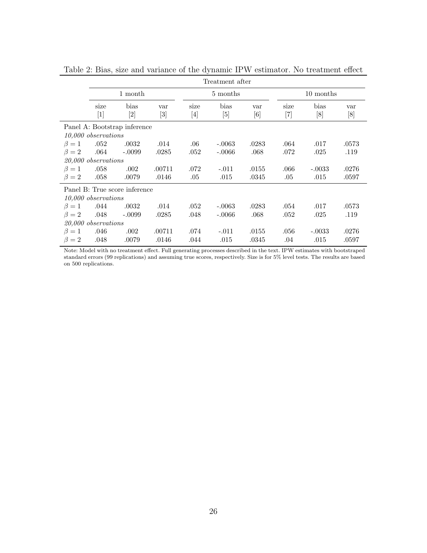|                               | Treatment after           |             |              |             |             |            |               |             |            |
|-------------------------------|---------------------------|-------------|--------------|-------------|-------------|------------|---------------|-------------|------------|
|                               | 1 month                   |             |              | 5 months    |             |            | 10 months     |             |            |
|                               | size<br>$\lceil 1 \rceil$ | bias<br>[2] | var<br>$[3]$ | size<br>[4] | bias<br>[5] | var<br>[6] | size<br>$[7]$ | bias<br>[8] | var<br>[8] |
| Panel A: Bootstrap inference  |                           |             |              |             |             |            |               |             |            |
|                               | 10,000 observations       |             |              |             |             |            |               |             |            |
| $\beta=1$                     | .052                      | .0032       | .014         | .06         | $-.0063$    | .0283      | .064          | .017        | .0573      |
| $\beta = 2$                   | .064                      | $-.0099$    | .0285        | .052        | $-.0066$    | .068       | .072          | .025        | .119       |
|                               | $20,000$ observations     |             |              |             |             |            |               |             |            |
| $\beta=1$                     | .058                      | .002        | .00711       | .072        | $-.011$     | .0155      | $.066\,$      | $-.0033$    | .0276      |
| $\beta = 2$                   | .058                      | .0079       | .0146        | .05         | .015        | .0345      | .05           | .015        | .0597      |
| Panel B: True score inference |                           |             |              |             |             |            |               |             |            |
| $10,000$ observations         |                           |             |              |             |             |            |               |             |            |
| $\beta = 1$ .044              |                           | .0032       | .014         | .052        | $-.0063$    | .0283      | .054          | .017        | .0573      |
| $\beta = 2$                   | .048                      | $-.0099$    | .0285        | .048        | $-.0066$    | .068       | .052          | .025        | .119       |
| 20,000 observations           |                           |             |              |             |             |            |               |             |            |
| $\beta=1$                     | .046                      | .002        | .00711       | .074        | $-.011$     | .0155      | .056          | $-.0033$    | .0276      |
| $\beta = 2$                   | .048                      | .0079       | .0146        | .044        | .015        | .0345      | .04           | .015        | .0597      |

Table 2: Bias, size and variance of the dynamic IPW estimator. No treatment effect

Note: Model with no treatment effect. Full generating processes described in the text. IPW estimates with bootstraped standard errors (99 replications) and assuming true scores, respectively. Size is for 5% level tests. The results are based on 500 replications.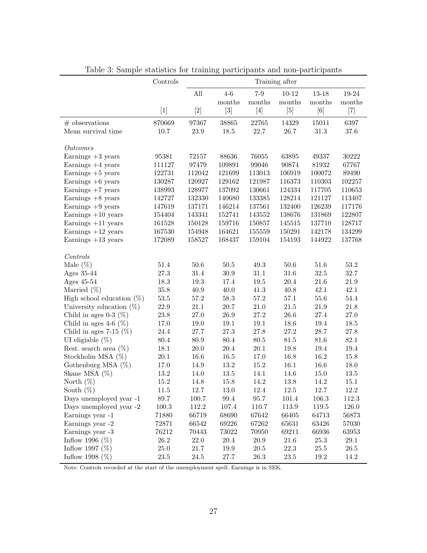|                              | Controls | Training after |                                                                                                                                                                                                                                                                                                                                          |                                                                                                                                                                                                                                                                                                               |           |                 |                   |
|------------------------------|----------|----------------|------------------------------------------------------------------------------------------------------------------------------------------------------------------------------------------------------------------------------------------------------------------------------------------------------------------------------------------|---------------------------------------------------------------------------------------------------------------------------------------------------------------------------------------------------------------------------------------------------------------------------------------------------------------|-----------|-----------------|-------------------|
|                              |          | All            | $4-6$                                                                                                                                                                                                                                                                                                                                    | $7-9$                                                                                                                                                                                                                                                                                                         | $10 - 12$ | $13 - 18$       | 19-24             |
|                              |          |                | months                                                                                                                                                                                                                                                                                                                                   | months                                                                                                                                                                                                                                                                                                        | months    | $\mbox{months}$ | months            |
|                              | $[1]$    |                | $[3] % \begin{center} \includegraphics[width=\linewidth]{imagesSupplemental/Imetad.png} \end{center} % \vspace*{-1em} \caption{The image shows the number of parameters of the estimators in the image. The left is the number of times, and the right is the number of times, and the right is the number of times.} \label{fig:lim} %$ | $[4] \centering% \includegraphics[width=1\textwidth]{images/TransY.pdf} \caption{The first two different values of $d$ and $d$ (left) and $d$ (right) are the same as a function of $d$ (right). The first two different values of $d$ (right) are the same as a function of $d$ (right).} \label{fig:class}$ | $[5]$     | [6]             | $\left[ 7\right]$ |
| $#$ observations             | 870669   | 97367          | 38865                                                                                                                                                                                                                                                                                                                                    | 22765                                                                                                                                                                                                                                                                                                         | 14329     | 15011           | 6397              |
| Mean survival time           | $10.7\,$ | $23.9\,$       | $18.5\,$                                                                                                                                                                                                                                                                                                                                 | 22.7                                                                                                                                                                                                                                                                                                          | 26.7      | $31.3\,$        | $37.6\,$          |
| Outcomes                     |          |                |                                                                                                                                                                                                                                                                                                                                          |                                                                                                                                                                                                                                                                                                               |           |                 |                   |
| Earnings $+3$ years          | 95381    | 72157          | 88636                                                                                                                                                                                                                                                                                                                                    | 76055                                                                                                                                                                                                                                                                                                         | 63895     | 49337           | 30222             |
| Earnings $+4$ years          | 111127   | 97479          | 109891                                                                                                                                                                                                                                                                                                                                   | 99046                                                                                                                                                                                                                                                                                                         | 90874     | 81932           | 67767             |
| Earnings $+5$ years          | 122731   | 112042         | 121699                                                                                                                                                                                                                                                                                                                                   | 113013                                                                                                                                                                                                                                                                                                        | 106919    | 100072          | 89490             |
| Earnings $+6$ years          | 130287   | 120927         | 129162                                                                                                                                                                                                                                                                                                                                   | 121987                                                                                                                                                                                                                                                                                                        | 116373    | 110303          | 102257            |
| Earnings $+7$ years          | 138993   | 128977         | 137092                                                                                                                                                                                                                                                                                                                                   | 130661                                                                                                                                                                                                                                                                                                        | 124334    | 117705          | 110653            |
| Earnings $+8$ years          | 142727   | 132330         | 140680                                                                                                                                                                                                                                                                                                                                   | 133385                                                                                                                                                                                                                                                                                                        | 128214    | 121127          | 113407            |
| Earnings $+9$ years          | 147619   | 137171         | 146214                                                                                                                                                                                                                                                                                                                                   | 137561                                                                                                                                                                                                                                                                                                        | 132400    | 126239          | 117176            |
| Earnings $+10$ years         | 154404   | 143341         | 152741                                                                                                                                                                                                                                                                                                                                   | 143552                                                                                                                                                                                                                                                                                                        | 138676    | 131869          | 122807            |
| Earnings $+11$ years         | 161528   | 150128         | 159716                                                                                                                                                                                                                                                                                                                                   | 150857                                                                                                                                                                                                                                                                                                        | 145515    | 137710          | 128717            |
| Earnings $+12$ years         | 167530   | 154948         | 164621                                                                                                                                                                                                                                                                                                                                   | 155559                                                                                                                                                                                                                                                                                                        | 150291    | 142178          | 134299            |
| Earnings $+13$ years         | 172089   | 158527         | 168437                                                                                                                                                                                                                                                                                                                                   | 159104                                                                                                                                                                                                                                                                                                        | 154193    | 144922          | 137768            |
| $\it Controls$               |          |                |                                                                                                                                                                                                                                                                                                                                          |                                                                                                                                                                                                                                                                                                               |           |                 |                   |
| Male $(\%)$                  | $51.4\,$ | $50.6\,$       | $50.5\,$                                                                                                                                                                                                                                                                                                                                 | $49.3\,$                                                                                                                                                                                                                                                                                                      | $50.6\,$  | $51.6\,$        | $53.2\,$          |
| Ages 35-44                   | 27.3     | $31.4\,$       | $30.9\,$                                                                                                                                                                                                                                                                                                                                 | $31.1\,$                                                                                                                                                                                                                                                                                                      | 31.6      | $32.5\,$        | 32.7              |
| Ages 45-54                   | 18.3     | 19.3           | 17.4                                                                                                                                                                                                                                                                                                                                     | 19.5                                                                                                                                                                                                                                                                                                          | $20.4\,$  | $21.6\,$        | $21.9\,$          |
| Married $(\%)$               | $35.8\,$ | 40.9           | $40.0\,$                                                                                                                                                                                                                                                                                                                                 | 41.3                                                                                                                                                                                                                                                                                                          | 40.8      | 42.1            | 42.1              |
| High school education $(\%)$ | $53.5\,$ | $57.2\,$       | $58.3\,$                                                                                                                                                                                                                                                                                                                                 | $57.2\,$                                                                                                                                                                                                                                                                                                      | $57.1\,$  | $55.6\,$        | $54.4\,$          |
| University education $(\%)$  | $22.9\,$ | $21.1\,$       | $20.7\,$                                                                                                                                                                                                                                                                                                                                 | $21.0\,$                                                                                                                                                                                                                                                                                                      | $21.5\,$  | $21.9\,$        | $21.8\,$          |
| Child in ages $0-3$ (%)      | $23.8\,$ | $27.0\,$       | $26.9\,$                                                                                                                                                                                                                                                                                                                                 | $27.2\,$                                                                                                                                                                                                                                                                                                      | 26.6      | $27.4\,$        | $27.0\,$          |
| Child in ages 4-6 $(\%)$     | 17.0     | 19.0           | $19.1\,$                                                                                                                                                                                                                                                                                                                                 | $19.1\,$                                                                                                                                                                                                                                                                                                      | 18.6      | $19.4\,$        | $18.5\,$          |
| Child in ages $7-15$ (%)     | $24.4\,$ | 27.7           | $27.3\,$                                                                                                                                                                                                                                                                                                                                 | $27.8\,$                                                                                                                                                                                                                                                                                                      | $27.2\,$  | $28.7\,$        | $27.8\,$          |
| UI eligiable $(\%)$          | 80.4     | 80.9           | $80.4\,$                                                                                                                                                                                                                                                                                                                                 | $80.5\,$                                                                                                                                                                                                                                                                                                      | $81.5\,$  | $81.6\,$        | $82.1\,$          |
| Rest. search area $(\%)$     | 18.1     | $20.0\,$       | $20.4\,$                                                                                                                                                                                                                                                                                                                                 | $20.1\,$                                                                                                                                                                                                                                                                                                      | 19.8      | 19.4            | $19.4\,$          |
| Stockholm MSA $(\%)$         | $20.1\,$ | 16.6           | $16.5\,$                                                                                                                                                                                                                                                                                                                                 | 17.0                                                                                                                                                                                                                                                                                                          | 16.8      | 16.2            | 15.8              |
| Gothenburg MSA $(\%)$        | 17.0     | 14.9           | $13.2\,$                                                                                                                                                                                                                                                                                                                                 | 15.2                                                                                                                                                                                                                                                                                                          | 16.1      | 16.6            | $18.0\,$          |
| Skane MSA $(\%)$             | $13.2\,$ | 14.0           | $13.5\,$                                                                                                                                                                                                                                                                                                                                 | 14.1                                                                                                                                                                                                                                                                                                          | 14.6      | 15.0            | $13.5\,$          |
| North $(\%)$                 | $15.2\,$ | 14.8           | 15.8                                                                                                                                                                                                                                                                                                                                     | 14.2                                                                                                                                                                                                                                                                                                          | 13.8      | 14.2            | $15.1\,$          |
| South $(\%)$                 | 11.5     | 12.7           | 13.0                                                                                                                                                                                                                                                                                                                                     | $12.4\,$                                                                                                                                                                                                                                                                                                      | 12.5      | 12.7            | 12.2              |
| Days unemployed year -1      | 89.7     | 100.7          | 99.4                                                                                                                                                                                                                                                                                                                                     | 95.7                                                                                                                                                                                                                                                                                                          | 101.4     | 106.3           | 112.3             |
| Days unemployed year -2      | 100.3    | 112.2          | 107.4                                                                                                                                                                                                                                                                                                                                    | 110.7                                                                                                                                                                                                                                                                                                         | 113.9     | 119.5           | 126.0             |
| Earnings year -1             | 71880    | 66719          | 68690                                                                                                                                                                                                                                                                                                                                    | 67642                                                                                                                                                                                                                                                                                                         | 66405     | 64713           | 56873             |
| Earnings year -2             | 72871    | 66542          | 69226                                                                                                                                                                                                                                                                                                                                    | 67262                                                                                                                                                                                                                                                                                                         | 65631     | 63426           | 57030             |
| Earnings year -3             | 76212    | 70443          | 73022                                                                                                                                                                                                                                                                                                                                    | 70950                                                                                                                                                                                                                                                                                                         | 69211     | 66936           | 63953             |
| Inflow 1996 $(\%)$           | 26.2     | 22.0           | $20.4\,$                                                                                                                                                                                                                                                                                                                                 | 20.9                                                                                                                                                                                                                                                                                                          | 21.6      | 25.3            | $29.1\,$          |
| Inflow 1997 $(\%)$           | 25.0     | 21.7           | 19.9                                                                                                                                                                                                                                                                                                                                     | $20.5\,$                                                                                                                                                                                                                                                                                                      | 22.3      | $25.5\,$        | 26.5              |
| Inflow 1998 $(\%)$           | $23.5\,$ | 24.5           | 27.7                                                                                                                                                                                                                                                                                                                                     | 26.3                                                                                                                                                                                                                                                                                                          | $23.5\,$  | 19.2            | 14.2              |

Table 3: Sample statistics for training participants and non-participants

Note: Controls recorded at the start of the unemployment spell. Earnings is in SEK.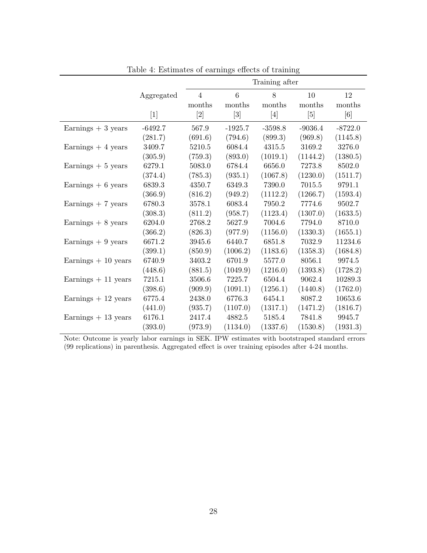|                      |            | Training after |                                                                                                                                                            |           |           |           |  |  |
|----------------------|------------|----------------|------------------------------------------------------------------------------------------------------------------------------------------------------------|-----------|-----------|-----------|--|--|
|                      | Aggregated | $\overline{4}$ | 6                                                                                                                                                          | 8         | 10        | 12        |  |  |
|                      |            | months         | months                                                                                                                                                     | months    | months    | months    |  |  |
|                      | $[1]$      | [2]            | $[3] % \includegraphics[width=0.9\columnwidth]{figures/fig_1a} \caption{Schematic diagram of the top of the top of the top of the right.} \label{fig:1} %$ | $[4]$     | [5]       | [6]       |  |  |
| Earnings $+3$ years  | $-6492.7$  | 567.9          | $-1925.7$                                                                                                                                                  | $-3598.8$ | $-9036.4$ | $-8722.0$ |  |  |
|                      | (281.7)    | (691.6)        | (794.6)                                                                                                                                                    | (899.3)   | (969.8)   | (1145.8)  |  |  |
| Earnings $+4$ years  | 3409.7     | 5210.5         | 6084.4                                                                                                                                                     | 4315.5    | 3169.2    | 3276.0    |  |  |
|                      | (305.9)    | (759.3)        | (893.0)                                                                                                                                                    | (1019.1)  | (1144.2)  | (1380.5)  |  |  |
| Earnings $+5$ years  | 6279.1     | 5083.0         | 6784.4                                                                                                                                                     | 6656.0    | 7273.8    | 8502.0    |  |  |
|                      | (374.4)    | (785.3)        | (935.1)                                                                                                                                                    | (1067.8)  | (1230.0)  | (1511.7)  |  |  |
| Earnings $+ 6$ years | 6839.3     | 4350.7         | 6349.3                                                                                                                                                     | 7390.0    | 7015.5    | 9791.1    |  |  |
|                      | (366.9)    | (816.2)        | (949.2)                                                                                                                                                    | (1112.2)  | (1266.7)  | (1593.4)  |  |  |
| Earnings $+7$ years  | 6780.3     | 3578.1         | 6083.4                                                                                                                                                     | 7950.2    | 7774.6    | 9502.7    |  |  |
|                      | (308.3)    | (811.2)        | (958.7)                                                                                                                                                    | (1123.4)  | (1307.0)  | (1633.5)  |  |  |
| Earnings $+8$ years  | 6204.0     | 2768.2         | 5627.9                                                                                                                                                     | 7004.6    | 7794.0    | 8710.0    |  |  |
|                      | (366.2)    | (826.3)        | (977.9)                                                                                                                                                    | (1156.0)  | (1330.3)  | (1655.1)  |  |  |
| Earnings $+9$ years  | 6671.2     | 3945.6         | 6440.7                                                                                                                                                     | 6851.8    | 7032.9    | 11234.6   |  |  |
|                      | (399.1)    | (850.9)        | (1006.2)                                                                                                                                                   | (1183.6)  | (1358.3)  | (1684.8)  |  |  |
| Earnings $+10$ years | 6740.9     | 3403.2         | 6701.9                                                                                                                                                     | 5577.0    | 8056.1    | 9974.5    |  |  |
|                      | (448.6)    | (881.5)        | (1049.9)                                                                                                                                                   | (1216.0)  | (1393.8)  | (1728.2)  |  |  |
| Earnings $+11$ years | 7215.1     | 3506.6         | 7225.7                                                                                                                                                     | 6504.4    | 9062.4    | 10289.3   |  |  |
|                      | (398.6)    | (909.9)        | (1091.1)                                                                                                                                                   | (1256.1)  | (1440.8)  | (1762.0)  |  |  |
| Earnings $+12$ years | 6775.4     | 2438.0         | 6776.3                                                                                                                                                     | 6454.1    | 8087.2    | 10653.6   |  |  |
|                      | (441.0)    | (935.7)        | (1107.0)                                                                                                                                                   | (1317.1)  | (1471.2)  | (1816.7)  |  |  |
| Earnings $+13$ years | 6176.1     | 2417.4         | 4882.5                                                                                                                                                     | 5185.4    | 7841.8    | 9945.7    |  |  |
|                      | (393.0)    | (973.9)        | (1134.0)                                                                                                                                                   | (1337.6)  | (1530.8)  | (1931.3)  |  |  |

Table 4: Estimates of earnings effects of training

Note: Outcome is yearly labor earnings in SEK. IPW estimates with bootstraped standard errors (99 replications) in parenthesis. Aggregated effect is over training episodes after 4-24 months.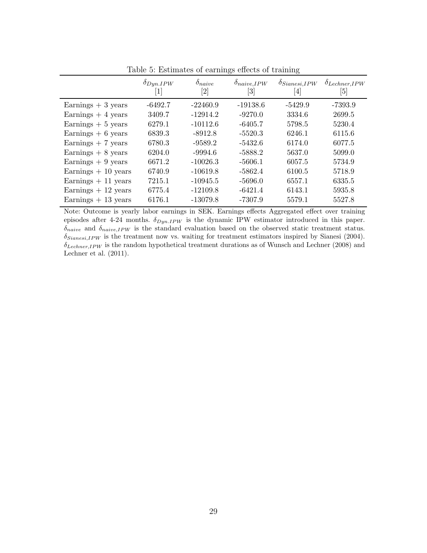|                      | $\delta_{Dyn.IPW}$<br>$\left\lceil 1 \right\rceil$ | $\delta_{naive}$<br>$\left[ 2\right]$ | $\delta_{naive,IPW}$<br>$\lceil 3 \rceil$ | $\delta_{Sianesi, IPW}$<br>$[4] % \includegraphics[width=1\textwidth]{images/TrDiM-Architecture.png} \caption{The figure shows the results of the estimators in the left hand side.} \label{TrDiM-Architecture}$ | $\delta$ Lechner, IPW<br>[5] |
|----------------------|----------------------------------------------------|---------------------------------------|-------------------------------------------|------------------------------------------------------------------------------------------------------------------------------------------------------------------------------------------------------------------|------------------------------|
| Earnings $+3$ years  | $-6492.7$                                          | $-22460.9$                            | $-19138.6$                                | $-5429.9$                                                                                                                                                                                                        | $-7393.9$                    |
| Earnings $+4$ years  | 3409.7                                             | $-12914.2$                            | $-9270.0$                                 | 3334.6                                                                                                                                                                                                           | 2699.5                       |
| Earnings $+5$ years  | 6279.1                                             | $-10112.6$                            | $-6405.7$                                 | 5798.5                                                                                                                                                                                                           | 5230.4                       |
| Earnings $+ 6$ years | 6839.3                                             | $-8912.8$                             | $-5520.3$                                 | 6246.1                                                                                                                                                                                                           | 6115.6                       |
| Earnings $+7$ years  | 6780.3                                             | $-9589.2$                             | $-5432.6$                                 | 6174.0                                                                                                                                                                                                           | 6077.5                       |
| Earnings $+8$ years  | 6204.0                                             | $-9994.6$                             | $-5888.2$                                 | 5637.0                                                                                                                                                                                                           | 5099.0                       |
| Earnings $+9$ years  | 6671.2                                             | $-10026.3$                            | $-5606.1$                                 | 6057.5                                                                                                                                                                                                           | 5734.9                       |
| Earnings $+10$ years | 6740.9                                             | $-10619.8$                            | $-5862.4$                                 | 6100.5                                                                                                                                                                                                           | 5718.9                       |
| Earnings $+11$ years | 7215.1                                             | $-10945.5$                            | $-5696.0$                                 | 6557.1                                                                                                                                                                                                           | 6335.5                       |
| Earnings $+12$ years | 6775.4                                             | $-12109.8$                            | $-6421.4$                                 | 6143.1                                                                                                                                                                                                           | 5935.8                       |
| Earnings $+13$ years | 6176.1                                             | $-13079.8$                            | $-7307.9$                                 | 5579.1                                                                                                                                                                                                           | 5527.8                       |

Table 5: Estimates of earnings effects of training

Note: Outcome is yearly labor earnings in SEK. Earnings effects Aggregated effect over training episodes after 4-24 months.  $\delta_{Dyn.IPW}$  is the dynamic IPW estimator introduced in this paper.  $\delta_{naive}$  and  $\delta_{naive,IPW}$  is the standard evaluation based on the observed static treatment status.  $\delta_{Sianssi,IPW}$  is the treatment now vs. waiting for treatment estimators inspired by Sianesi (2004).  $\delta_{Lechner,IPW}$  is the random hypothetical treatment durations as of Wunsch and Lechner (2008) and Lechner et al. (2011).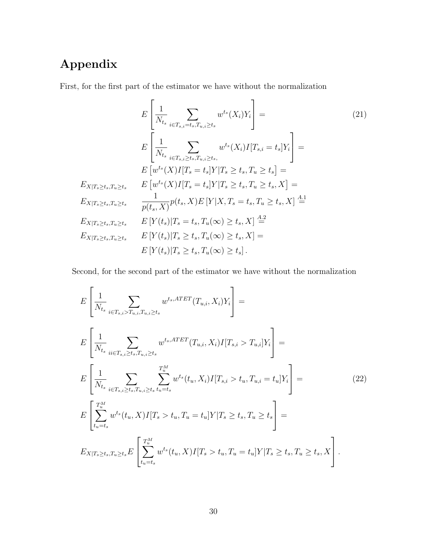# Appendix

First, for the first part of the estimator we have without the normalization

$$
E\left[\frac{1}{N_{t_s}}\sum_{i\in T_{s,i}=t_s,T_{u,i}\geq t_s}w^{t_s}(X_i)Y_i\right] =
$$
\n
$$
E\left[\frac{1}{N_{t_s}}\sum_{i\in T_{s,i}\geq t_s,T_{u,i}\geq t_s}w^{t_s}(X_i)I[T_{s,i}=t_s]Y_i\right] =
$$
\n
$$
E\left[w^{t_s}(X)I[T_s=t_s]Y|T_s\geq t_s, T_u\geq t_s\right] =
$$
\n
$$
E_{X|T_s\geq t_s,T_u\geq t_s} \qquad E\left[w^{t_s}(X)I[T_s=t_s]Y|T_s\geq t_s, T_u\geq t_s, X\right] =
$$
\n
$$
E_{X|T_s\geq t_s,T_u\geq t_s} \qquad \frac{1}{p(t_s,X)}p(t_s,X)E\left[Y|X,T_s=t_s,T_u\geq t_s, X\right] \stackrel{A.1}{=}
$$
\n
$$
E_{X|T_s\geq t_s,T_u\geq t_s} \qquad E\left[Y(t_s)|T_s=t_s,T_u(\infty)\geq t_s, X\right] \stackrel{A.2}{=}
$$
\n
$$
E\left[Y(t_s)|T_s\geq t_s,T_u(\infty)\geq t_s, X\right] =
$$
\n
$$
E\left[Y(t_s)|T_s\geq t_s,T_u(\infty)\geq t_s\right].
$$
\n(21)

Second, for the second part of the estimator we have without the normalization

$$
E\left[\frac{1}{N_{t_s}}\sum_{i\in T_{s,i}>T_{u,i},T_{u,i}\geq t_s}w^{t_s,ATET}(T_{u,i}, X_i)Y_i\right] =
$$
\n
$$
E\left[\frac{1}{N_{t_s}}\sum_{ii\in T_{s,i}\geq t_s,T_{u,i}\geq t_s}w^{t_s,ATET}(T_{u,i}, X_i)I[T_{s,i} > T_{u,i}]Y_i\right] =
$$
\n
$$
E\left[\frac{1}{N_{t_s}}\sum_{i\in T_{s,i}\geq t_s,T_{u,i}\geq t_s}w^{t_s}(t_u, X_i)I[T_{s,i} > t_u, T_{u,i} = t_u]Y_i\right] =
$$
\n
$$
E\left[\sum_{t_u=t_s}^{T_u^M}w^{t_s}(t_u, X)I[T_s > t_u, T_u = t_u]Y|T_s \geq t_s, T_u \geq t_s\right] =
$$
\n
$$
E_{X|T_s\geq t_s,T_u\geq t_s}E\left[\sum_{t_u=t_s}^{T_u^M}w^{t_s}(t_u, X)I[T_s > t_u, T_u = t_u]Y|T_s \geq t_s, T_u \geq t_s, X\right].
$$
\n(22)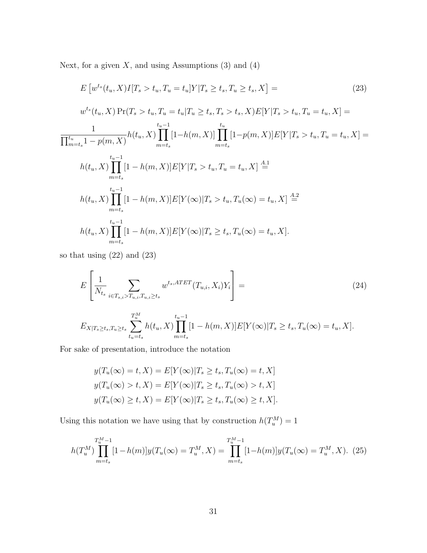Next, for a given  $X$ , and using Assumptions  $(3)$  and  $(4)$ 

$$
E\left[w^{ts}(t_u, X)I[T_s > t_u, T_u = t_u]Y|T_s \ge t_s, T_u \ge t_s, X\right] =
$$
\n
$$
w^{ts}(t_u, X) \Pr(T_s > t_u, T_u = t_u|T_u \ge t_s, T_s > t_s, X) E[Y|T_s > t_u, T_u = t_u, X] =
$$
\n
$$
\frac{1}{\prod_{m=t_s}^{t_u} 1 - p(m, X)} h(t_u, X) \prod_{m=t_s}^{t_u - 1} [1 - h(m, X)] \prod_{m=t_s}^{t_u} [1 - p(m, X)] E[Y|T_s > t_u, T_u = t_u, X] =
$$
\n
$$
h(t_u, X) \prod_{m=t_s}^{t_u - 1} [1 - h(m, X)] E[Y|T_s > t_u, T_u = t_u, X] \stackrel{A.1}{=}
$$
\n
$$
h(t_u, X) \prod_{m=t_s}^{t_u - 1} [1 - h(m, X)] E[Y(\infty)|T_s > t_u, T_u(\infty) = t_u, X] \stackrel{A.2}{=}
$$
\n
$$
h(t_u, X) \prod_{m=t_s}^{t_u - 1} [1 - h(m, X)] E[Y(\infty)|T_s \ge t_s, T_u(\infty) = t_u, X].
$$
\n(23)

so that using (22) and (23)

$$
E\left[\frac{1}{N_{t_s}}\sum_{i\in T_{s,i}>T_{u,i},T_{u,i}\geq t_s}w^{t_s,ATET}(T_{u,i},X_i)Y_i\right] =
$$
\n(24)

$$
E_{X|T_s \ge t_s, T_u \ge t_s} \sum_{t_u = t_s}^{T_u^M} h(t_u, X) \prod_{m = t_s}^{t_u - 1} [1 - h(m, X)] E[Y(\infty)|T_s \ge t_s, T_u(\infty) = t_u, X].
$$

For sake of presentation, introduce the notation

$$
y(T_u(\infty) = t, X) = E[Y(\infty)|T_s \ge t_s, T_u(\infty) = t, X]
$$
  

$$
y(T_u(\infty) > t, X) = E[Y(\infty)|T_s \ge t_s, T_u(\infty) > t, X]
$$
  

$$
y(T_u(\infty) \ge t, X) = E[Y(\infty)|T_s \ge t_s, T_u(\infty) \ge t, X].
$$

Using this notation we have using that by construction  $h(T_u^M) = 1$ 

$$
h(T_u^M) \prod_{m=t_s}^{T_u^M-1} [1-h(m)]y(T_u(\infty)) = T_u^M, X) = \prod_{m=t_s}^{T_u^M-1} [1-h(m)]y(T_u(\infty)) = T_u^M, X). \tag{25}
$$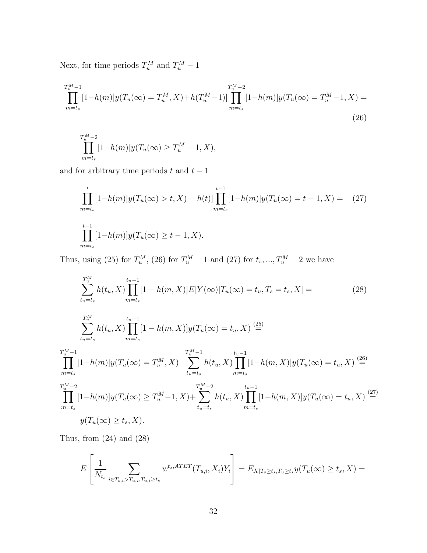Next, for time periods  $T_u^M$  and  $T_u^M - 1$ 

$$
\prod_{m=t_s}^{T_u^M-1} [1-h(m)]y(T_u(\infty) = T_u^M, X) + h(T_u^M-1)] \prod_{m=t_s}^{T_u^M-2} [1-h(m)]y(T_u(\infty) = T_u^M-1, X) =
$$
\n(26)

$$
\prod_{m=t_s}^{T_u^M-2} [1-h(m)]y(T_u(\infty) \ge T_u^M - 1, X),
$$

and for arbitrary time periods  $t$  and  $t-1$ 

$$
\prod_{m=t_s}^{t} [1-h(m)]y(T_u(\infty) > t, X) + h(t)] \prod_{m=t_s}^{t-1} [1-h(m)]y(T_u(\infty) = t-1, X) = (27)
$$
\n
$$
\prod_{m=t_s}^{t-1} [1-h(m)]y(T_u(\infty) \ge t-1, X).
$$

Thus, using (25) for  $T_u^M$ , (26) for  $T_u^M - 1$  and (27) for  $t_s, ..., T_u^M - 2$  we have

$$
\sum_{t_u=t_s}^{T_u^M} h(t_u, X) \prod_{m=t_s}^{t_u-1} [1 - h(m, X)] E[Y(\infty) | T_u(\infty) = t_u, T_s = t_s, X] =
$$
\n
$$
\sum_{t_u=t_s}^{T_u^M} h(t_u, X) \prod_{m=t_s}^{t_u-1} [1 - h(m, X)] y(T_u(\infty) = t_u, X) \stackrel{(25)}{=}
$$
\n
$$
\prod_{m=t_s}^{T_u^M-1} [1 - h(m)] y(T_u(\infty) = T_u^M, X) + \sum_{t_u=t_s}^{T_u^M-1} h(t_u, X) \prod_{m=t_s}^{t_u-1} [1 - h(m, X)] y(T_u(\infty) = t_u, X) \stackrel{(26)}{=}
$$
\n
$$
\prod_{m=t_s}^{T_u^M-2} [1 - h(m)] y(T_u(\infty) \ge T_u^M - 1, X) + \sum_{t_u=t_s}^{T_u^M-2} h(t_u, X) \prod_{m=t_s}^{t_u-1} [1 - h(m, X)] y(T_u(\infty) = t_u, X) \stackrel{(27)}{=}
$$
\n
$$
y(T_u(\infty) \ge t_s, X).
$$
\n(28)

Thus, from (24) and (28)

$$
E\left[\frac{1}{N_{t_s}}\sum_{i\in T_{s,i}>T_{u,i},T_{u,i}\geq t_s}w^{t_s,ATET}(T_{u,i},X_i)Y_i\right]=E_{X|T_s\geq t_s,T_u\geq t_s}y(T_u(\infty)\geq t_s,X)=
$$